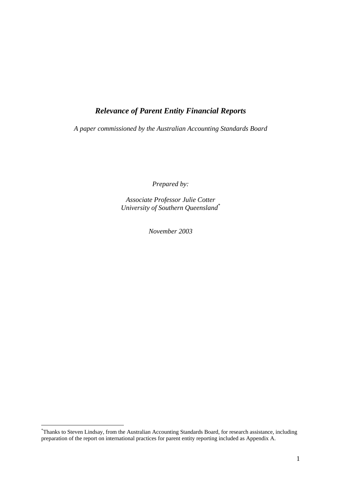# *Relevance of Parent Entity Financial Reports*

*A paper commissioned by the Australian Accounting Standards Board* 

*Prepared by:* 

*Associate Professor Julie Cotter University of Southern Queensland\**

*November 2003* 

 $\overline{a}$ 

<sup>\*</sup> Thanks to Steven Lindsay, from the Australian Accounting Standards Board, for research assistance, including preparation of the report on international practices for parent entity reporting included as Appendix A.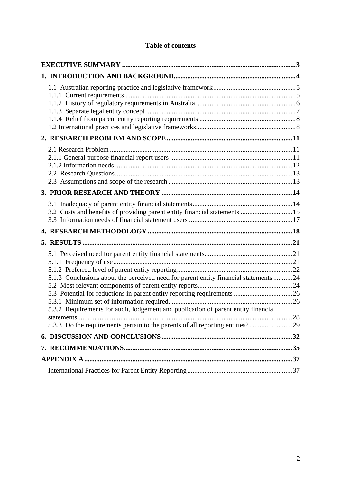# **Table of contents**

| 3.2 Costs and benefits of providing parent entity financial statements 15                                                                                                        |  |
|----------------------------------------------------------------------------------------------------------------------------------------------------------------------------------|--|
|                                                                                                                                                                                  |  |
|                                                                                                                                                                                  |  |
| 5.1.3 Conclusions about the perceived need for parent entity financial statements 24<br>5.3.2 Requirements for audit, lodgement and publication of parent entity financial<br>28 |  |
| 5.3.3 Do the requirements pertain to the parents of all reporting entities?29                                                                                                    |  |
|                                                                                                                                                                                  |  |
|                                                                                                                                                                                  |  |
|                                                                                                                                                                                  |  |
|                                                                                                                                                                                  |  |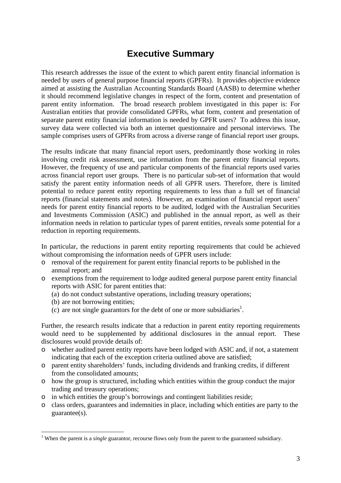# **Executive Summary**

This research addresses the issue of the extent to which parent entity financial information is needed by users of general purpose financial reports (GPFRs). It provides objective evidence aimed at assisting the Australian Accounting Standards Board (AASB) to determine whether it should recommend legislative changes in respect of the form, content and presentation of parent entity information. The broad research problem investigated in this paper is: For Australian entities that provide consolidated GPFRs, what form, content and presentation of separate parent entity financial information is needed by GPFR users? To address this issue, survey data were collected via both an internet questionnaire and personal interviews. The sample comprises users of GPFRs from across a diverse range of financial report user groups.

The results indicate that many financial report users, predominantly those working in roles involving credit risk assessment, use information from the parent entity financial reports. However, the frequency of use and particular components of the financial reports used varies across financial report user groups. There is no particular sub-set of information that would satisfy the parent entity information needs of all GPFR users. Therefore, there is limited potential to reduce parent entity reporting requirements to less than a full set of financial reports (financial statements and notes). However, an examination of financial report users' needs for parent entity financial reports to be audited, lodged with the Australian Securities and Investments Commission (ASIC) and published in the annual report, as well as their information needs in relation to particular types of parent entities, reveals some potential for a reduction in reporting requirements.

In particular, the reductions in parent entity reporting requirements that could be achieved without compromising the information needs of GPFR users include:

- o removal of the requirement for parent entity financial reports to be published in the annual report; and
- o exemptions from the requirement to lodge audited general purpose parent entity financial reports with ASIC for parent entities that:
	- (a) do not conduct substantive operations, including treasury operations;
	- (b) are not borrowing entities;
	- $(c)$  are not single guarantors for the debt of one or more subsidiaries<sup>1</sup>.

Further, the research results indicate that a reduction in parent entity reporting requirements would need to be supplemented by additional disclosures in the annual report. These disclosures would provide details of:

- o whether audited parent entity reports have been lodged with ASIC and, if not, a statement indicating that each of the exception criteria outlined above are satisfied;
- o parent entity shareholders' funds, including dividends and franking credits, if different from the consolidated amounts;
- o how the group is structured, including which entities within the group conduct the major trading and treasury operations;
- o in which entities the group's borrowings and contingent liabilities reside;
- o class orders, guarantees and indemnities in place, including which entities are party to the guarantee(s).

<sup>&</sup>lt;sup>1</sup> When the parent is a *single* guarantor, recourse flows only from the parent to the guaranteed subsidiary.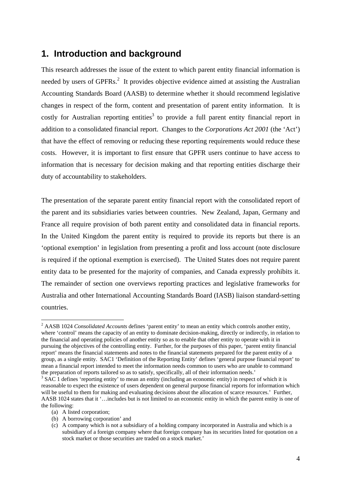# **1. Introduction and background**

This research addresses the issue of the extent to which parent entity financial information is needed by users of GPFRs.<sup>2</sup> It provides objective evidence aimed at assisting the Australian Accounting Standards Board (AASB) to determine whether it should recommend legislative changes in respect of the form, content and presentation of parent entity information. It is costly for Australian reporting entities<sup>3</sup> to provide a full parent entity financial report in addition to a consolidated financial report. Changes to the *Corporations Act 2001* (the 'Act') that have the effect of removing or reducing these reporting requirements would reduce these costs. However, it is important to first ensure that GPFR users continue to have access to information that is necessary for decision making and that reporting entities discharge their duty of accountability to stakeholders.

The presentation of the separate parent entity financial report with the consolidated report of the parent and its subsidiaries varies between countries. New Zealand, Japan, Germany and France all require provision of both parent entity and consolidated data in financial reports. In the United Kingdom the parent entity is required to provide its reports but there is an 'optional exemption' in legislation from presenting a profit and loss account (note disclosure is required if the optional exemption is exercised). The United States does not require parent entity data to be presented for the majority of companies, and Canada expressly prohibits it. The remainder of section one overviews reporting practices and legislative frameworks for Australia and other International Accounting Standards Board (IASB) liaison standard-setting countries.

(a) A listed corporation;

 $\overline{a}$ 

(b) A borrowing corporation' and

<sup>&</sup>lt;sup>2</sup> AASB 1024 *Consolidated Accounts* defines 'parent entity' to mean an entity which controls another entity, where 'control' means the capacity of an entity to dominate decision-making, directly or indirectly, in relation to the financial and operating policies of another entity so as to enable that other entity to operate with it in pursuing the objectives of the controlling entity. Further, for the purposes of this paper, 'parent entity financial report' means the financial statements and notes to the financial statements prepared for the parent entity of a group, as a single entity. SAC1 'Definition of the Reporting Entity' defines 'general purpose financial report' to mean a financial report intended to meet the information needs common to users who are unable to command the preparation of reports tailored so as to satisfy, specifically, all of their information needs.'

<sup>&</sup>lt;sup>3</sup> SAC 1 defines 'reporting entity' to mean an entity (including an economic entity) in respect of which it is reasonable to expect the existence of users dependent on general purpose financial reports for information which will be useful to them for making and evaluating decisions about the allocation of scarce resources.' Further, AASB 1024 states that it '…includes but is not limited to an economic entity in which the parent entity is one of the following:

<sup>(</sup>c) A company which is not a subsidiary of a holding company incorporated in Australia and which is a subsidiary of a foreign company where that foreign company has its securities listed for quotation on a stock market or those securities are traded on a stock market.'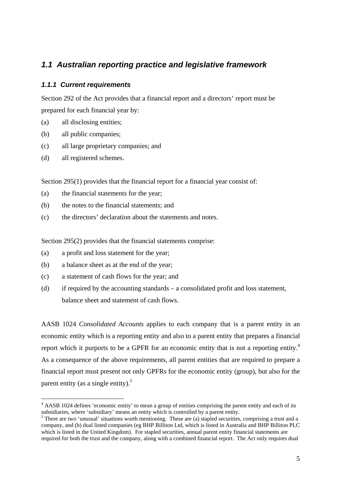# *1.1 Australian reporting practice and legislative framework*

## *1.1.1 Current requirements*

Section 292 of the Act provides that a financial report and a directors' report must be prepared for each financial year by:

- (a) all disclosing entities;
- (b) all public companies;
- (c) all large proprietary companies; and
- (d) all registered schemes.

 $\overline{a}$ 

Section 295(1) provides that the financial report for a financial year consist of:

- (a) the financial statements for the year;
- (b) the notes to the financial statements; and
- (c) the directors' declaration about the statements and notes.

Section 295(2) provides that the financial statements comprise:

- (a) a profit and loss statement for the year;
- (b) a balance sheet as at the end of the year;
- (c) a statement of cash flows for the year; and
- (d) if required by the accounting standards a consolidated profit and loss statement, balance sheet and statement of cash flows.

AASB 1024 *Consolidated Accounts* applies to each company that is a parent entity in an economic entity which is a reporting entity and also to a parent entity that prepares a financial report which it purports to be a GPFR for an economic entity that is not a reporting entity.<sup>4</sup> As a consequence of the above requirements, all parent entities that are required to prepare a financial report must present not only GPFRs for the economic entity (group), but also for the parent entity (as a single entity).<sup>5</sup>

<sup>&</sup>lt;sup>4</sup> AASB 1024 defines 'economic entity' to mean a group of entities comprising the parent entity and each of its subsidiaries, where 'subsidiary' means an entity which is controlled by a parent entity.

<sup>&</sup>lt;sup>5</sup> There are two 'unusual' situations worth mentioning. These are (a) stapled securities, comprising a trust and a company, and (b) dual listed companies (eg BHP Billiton Ltd, which is listed in Australia and BHP Billiton PLC which is listed in the United Kingdom). For stapled securities, annual parent entity financial statements are required for both the trust and the company, along with a combined financial report. The Act only requires dual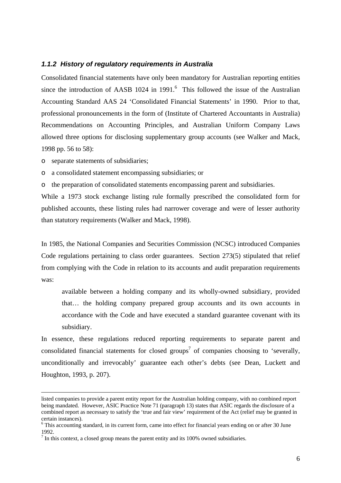#### *1.1.2 History of regulatory requirements in Australia*

Consolidated financial statements have only been mandatory for Australian reporting entities since the introduction of AASB  $1024$  in 1991.<sup>6</sup> This followed the issue of the Australian Accounting Standard AAS 24 'Consolidated Financial Statements' in 1990. Prior to that, professional pronouncements in the form of (Institute of Chartered Accountants in Australia) Recommendations on Accounting Principles, and Australian Uniform Company Laws allowed three options for disclosing supplementary group accounts (see Walker and Mack, 1998 pp. 56 to 58):

o separate statements of subsidiaries;

o a consolidated statement encompassing subsidiaries; or

o the preparation of consolidated statements encompassing parent and subsidiaries.

While a 1973 stock exchange listing rule formally prescribed the consolidated form for published accounts, these listing rules had narrower coverage and were of lesser authority than statutory requirements (Walker and Mack, 1998).

In 1985, the National Companies and Securities Commission (NCSC) introduced Companies Code regulations pertaining to class order guarantees. Section 273(5) stipulated that relief from complying with the Code in relation to its accounts and audit preparation requirements was:

available between a holding company and its wholly-owned subsidiary, provided that… the holding company prepared group accounts and its own accounts in accordance with the Code and have executed a standard guarantee covenant with its subsidiary.

In essence, these regulations reduced reporting requirements to separate parent and consolidated financial statements for closed groups<sup>7</sup> of companies choosing to 'severally, unconditionally and irrevocably' guarantee each other's debts (see Dean, Luckett and Houghton, 1993, p. 207).

listed companies to provide a parent entity report for the Australian holding company, with no combined report being mandated. However, ASIC Practice Note 71 (paragraph 13) states that ASIC regards the disclosure of a combined report as necessary to satisfy the 'true and fair view' requirement of the Act (relief may be granted in certain instances).

<sup>&</sup>lt;sup>6</sup> This accounting standard, in its current form, came into effect for financial years ending on or after 30 June 1992.

 $<sup>7</sup>$  In this context, a closed group means the parent entity and its 100% owned subsidiaries.</sup>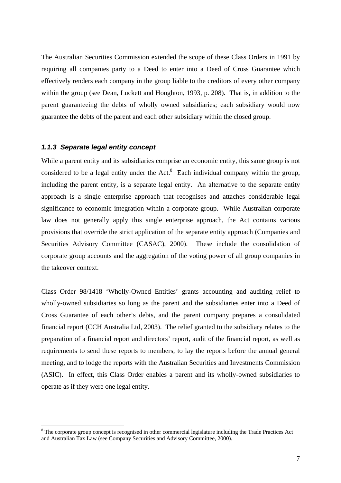The Australian Securities Commission extended the scope of these Class Orders in 1991 by requiring all companies party to a Deed to enter into a Deed of Cross Guarantee which effectively renders each company in the group liable to the creditors of every other company within the group (see Dean, Luckett and Houghton, 1993, p. 208). That is, in addition to the parent guaranteeing the debts of wholly owned subsidiaries; each subsidiary would now guarantee the debts of the parent and each other subsidiary within the closed group.

#### *1.1.3 Separate legal entity concept*

 $\overline{a}$ 

While a parent entity and its subsidiaries comprise an economic entity, this same group is not considered to be a legal entity under the Act. $8$  Each individual company within the group, including the parent entity, is a separate legal entity. An alternative to the separate entity approach is a single enterprise approach that recognises and attaches considerable legal significance to economic integration within a corporate group. While Australian corporate law does not generally apply this single enterprise approach, the Act contains various provisions that override the strict application of the separate entity approach (Companies and Securities Advisory Committee (CASAC), 2000). These include the consolidation of corporate group accounts and the aggregation of the voting power of all group companies in the takeover context.

Class Order 98/1418 'Wholly-Owned Entities' grants accounting and auditing relief to wholly-owned subsidiaries so long as the parent and the subsidiaries enter into a Deed of Cross Guarantee of each other's debts, and the parent company prepares a consolidated financial report (CCH Australia Ltd, 2003). The relief granted to the subsidiary relates to the preparation of a financial report and directors' report, audit of the financial report, as well as requirements to send these reports to members, to lay the reports before the annual general meeting, and to lodge the reports with the Australian Securities and Investments Commission (ASIC). In effect, this Class Order enables a parent and its wholly-owned subsidiaries to operate as if they were one legal entity.

<sup>&</sup>lt;sup>8</sup> The corporate group concept is recognised in other commercial legislature including the Trade Practices Act and Australian Tax Law (see Company Securities and Advisory Committee, 2000).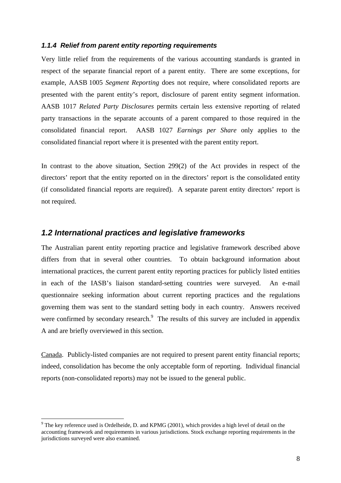#### *1.1.4 Relief from parent entity reporting requirements*

Very little relief from the requirements of the various accounting standards is granted in respect of the separate financial report of a parent entity. There are some exceptions, for example, AASB 1005 *Segment Reporting* does not require, where consolidated reports are presented with the parent entity's report, disclosure of parent entity segment information. AASB 1017 *Related Party Disclosures* permits certain less extensive reporting of related party transactions in the separate accounts of a parent compared to those required in the consolidated financial report. AASB 1027 *Earnings per Share* only applies to the consolidated financial report where it is presented with the parent entity report.

In contrast to the above situation, Section 299(2) of the Act provides in respect of the directors' report that the entity reported on in the directors' report is the consolidated entity (if consolidated financial reports are required). A separate parent entity directors' report is not required.

# *1.2 International practices and legislative frameworks*

The Australian parent entity reporting practice and legislative framework described above differs from that in several other countries. To obtain background information about international practices, the current parent entity reporting practices for publicly listed entities in each of the IASB's liaison standard-setting countries were surveyed. An e-mail questionnaire seeking information about current reporting practices and the regulations governing them was sent to the standard setting body in each country. Answers received were confirmed by secondary research. $9$  The results of this survey are included in appendix A and are briefly overviewed in this section.

Canada. Publicly-listed companies are not required to present parent entity financial reports; indeed, consolidation has become the only acceptable form of reporting. Individual financial reports (non-consolidated reports) may not be issued to the general public.

 $\overline{a}$ 

 $9$  The key reference used is Ordelheide, D. and KPMG (2001), which provides a high level of detail on the accounting framework and requirements in various jurisdictions. Stock exchange reporting requirements in the jurisdictions surveyed were also examined.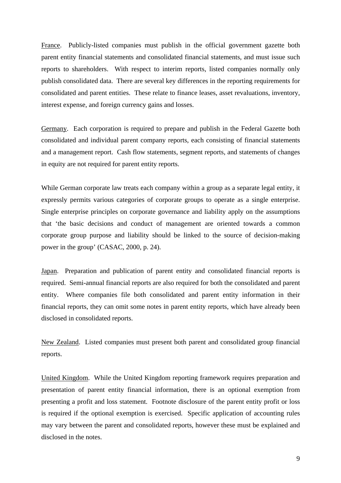France. Publicly-listed companies must publish in the official government gazette both parent entity financial statements and consolidated financial statements, and must issue such reports to shareholders. With respect to interim reports, listed companies normally only publish consolidated data. There are several key differences in the reporting requirements for consolidated and parent entities. These relate to finance leases, asset revaluations, inventory, interest expense, and foreign currency gains and losses.

Germany. Each corporation is required to prepare and publish in the Federal Gazette both consolidated and individual parent company reports, each consisting of financial statements and a management report. Cash flow statements, segment reports, and statements of changes in equity are not required for parent entity reports.

While German corporate law treats each company within a group as a separate legal entity, it expressly permits various categories of corporate groups to operate as a single enterprise. Single enterprise principles on corporate governance and liability apply on the assumptions that 'the basic decisions and conduct of management are oriented towards a common corporate group purpose and liability should be linked to the source of decision-making power in the group' (CASAC, 2000, p. 24).

Japan. Preparation and publication of parent entity and consolidated financial reports is required. Semi-annual financial reports are also required for both the consolidated and parent entity. Where companies file both consolidated and parent entity information in their financial reports, they can omit some notes in parent entity reports, which have already been disclosed in consolidated reports.

New Zealand. Listed companies must present both parent and consolidated group financial reports.

United Kingdom. While the United Kingdom reporting framework requires preparation and presentation of parent entity financial information, there is an optional exemption from presenting a profit and loss statement. Footnote disclosure of the parent entity profit or loss is required if the optional exemption is exercised. Specific application of accounting rules may vary between the parent and consolidated reports, however these must be explained and disclosed in the notes.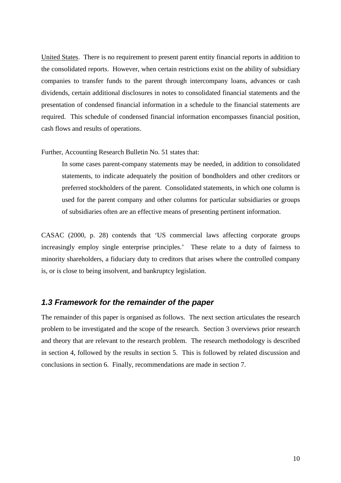United States. There is no requirement to present parent entity financial reports in addition to the consolidated reports. However, when certain restrictions exist on the ability of subsidiary companies to transfer funds to the parent through intercompany loans, advances or cash dividends, certain additional disclosures in notes to consolidated financial statements and the presentation of condensed financial information in a schedule to the financial statements are required. This schedule of condensed financial information encompasses financial position, cash flows and results of operations.

Further, Accounting Research Bulletin No. 51 states that:

In some cases parent-company statements may be needed, in addition to consolidated statements, to indicate adequately the position of bondholders and other creditors or preferred stockholders of the parent. Consolidated statements, in which one column is used for the parent company and other columns for particular subsidiaries or groups of subsidiaries often are an effective means of presenting pertinent information.

CASAC (2000, p. 28) contends that 'US commercial laws affecting corporate groups increasingly employ single enterprise principles.' These relate to a duty of fairness to minority shareholders, a fiduciary duty to creditors that arises where the controlled company is, or is close to being insolvent, and bankruptcy legislation.

# *1.3 Framework for the remainder of the paper*

The remainder of this paper is organised as follows. The next section articulates the research problem to be investigated and the scope of the research. Section 3 overviews prior research and theory that are relevant to the research problem. The research methodology is described in section 4, followed by the results in section 5. This is followed by related discussion and conclusions in section 6. Finally, recommendations are made in section 7.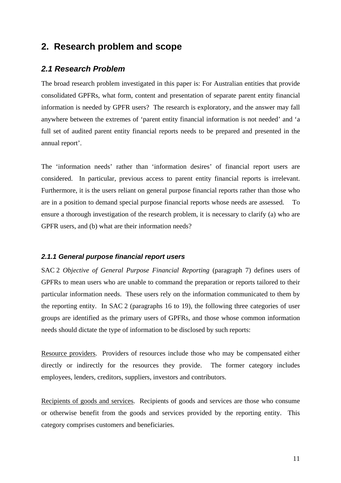# **2. Research problem and scope**

# *2.1 Research Problem*

The broad research problem investigated in this paper is: For Australian entities that provide consolidated GPFRs, what form, content and presentation of separate parent entity financial information is needed by GPFR users? The research is exploratory, and the answer may fall anywhere between the extremes of 'parent entity financial information is not needed' and 'a full set of audited parent entity financial reports needs to be prepared and presented in the annual report'.

The 'information needs' rather than 'information desires' of financial report users are considered. In particular, previous access to parent entity financial reports is irrelevant. Furthermore, it is the users reliant on general purpose financial reports rather than those who are in a position to demand special purpose financial reports whose needs are assessed. To ensure a thorough investigation of the research problem, it is necessary to clarify (a) who are GPFR users, and (b) what are their information needs?

#### *2.1.1 General purpose financial report users*

SAC 2 *Objective of General Purpose Financial Reporting* (paragraph 7) defines users of GPFRs to mean users who are unable to command the preparation or reports tailored to their particular information needs. These users rely on the information communicated to them by the reporting entity. In SAC 2 (paragraphs 16 to 19), the following three categories of user groups are identified as the primary users of GPFRs, and those whose common information needs should dictate the type of information to be disclosed by such reports:

Resource providers. Providers of resources include those who may be compensated either directly or indirectly for the resources they provide. The former category includes employees, lenders, creditors, suppliers, investors and contributors.

Recipients of goods and services. Recipients of goods and services are those who consume or otherwise benefit from the goods and services provided by the reporting entity. This category comprises customers and beneficiaries.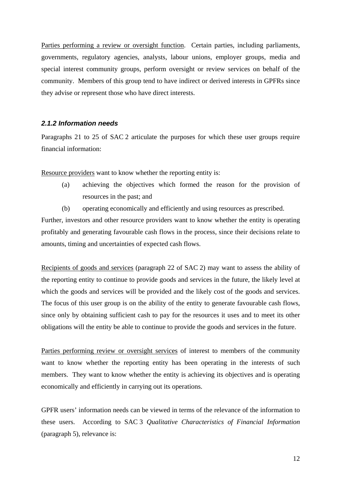Parties performing a review or oversight function. Certain parties, including parliaments, governments, regulatory agencies, analysts, labour unions, employer groups, media and special interest community groups, perform oversight or review services on behalf of the community. Members of this group tend to have indirect or derived interests in GPFRs since they advise or represent those who have direct interests.

### *2.1.2 Information needs*

Paragraphs 21 to 25 of SAC 2 articulate the purposes for which these user groups require financial information:

Resource providers want to know whether the reporting entity is:

- (a) achieving the objectives which formed the reason for the provision of resources in the past; and
- (b) operating economically and efficiently and using resources as prescribed.

Further, investors and other resource providers want to know whether the entity is operating profitably and generating favourable cash flows in the process, since their decisions relate to amounts, timing and uncertainties of expected cash flows.

Recipients of goods and services (paragraph 22 of SAC 2) may want to assess the ability of the reporting entity to continue to provide goods and services in the future, the likely level at which the goods and services will be provided and the likely cost of the goods and services. The focus of this user group is on the ability of the entity to generate favourable cash flows, since only by obtaining sufficient cash to pay for the resources it uses and to meet its other obligations will the entity be able to continue to provide the goods and services in the future.

Parties performing review or oversight services of interest to members of the community want to know whether the reporting entity has been operating in the interests of such members. They want to know whether the entity is achieving its objectives and is operating economically and efficiently in carrying out its operations.

GPFR users' information needs can be viewed in terms of the relevance of the information to these users. According to SAC 3 *Qualitative Characteristics of Financial Information*  (paragraph 5), relevance is: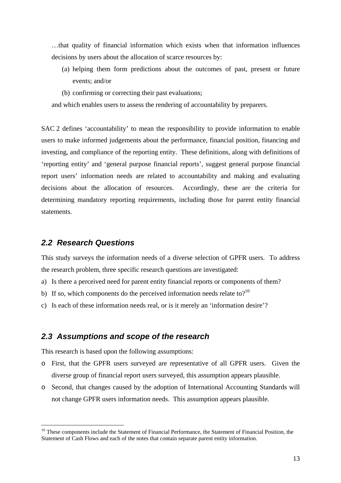…that quality of financial information which exists when that information influences decisions by users about the allocation of scarce resources by:

- (a) helping them form predictions about the outcomes of past, present or future events; and/or
- (b) confirming or correcting their past evaluations;

and which enables users to assess the rendering of accountability by preparers.

SAC 2 defines 'accountability' to mean the responsibility to provide information to enable users to make informed judgements about the performance, financial position, financing and investing, and compliance of the reporting entity. These definitions, along with definitions of 'reporting entity' and 'general purpose financial reports', suggest general purpose financial report users' information needs are related to accountability and making and evaluating decisions about the allocation of resources. Accordingly, these are the criteria for determining mandatory reporting requirements, including those for parent entity financial statements.

# *2.2 Research Questions*

 $\overline{a}$ 

This study surveys the information needs of a diverse selection of GPFR users. To address the research problem, three specific research questions are investigated:

- a) Is there a perceived need for parent entity financial reports or components of them?
- b) If so, which components do the perceived information needs relate to?<sup>10</sup>
- c) Is each of these information needs real, or is it merely an 'information desire'?

## *2.3 Assumptions and scope of the research*

This research is based upon the following assumptions:

- o First, that the GPFR users surveyed are representative of all GPFR users. Given the diverse group of financial report users surveyed, this assumption appears plausible.
- o Second, that changes caused by the adoption of International Accounting Standards will not change GPFR users information needs. This assumption appears plausible.

<sup>&</sup>lt;sup>10</sup> These components include the Statement of Financial Performance, the Statement of Financial Position, the Statement of Cash Flows and each of the notes that contain separate parent entity information.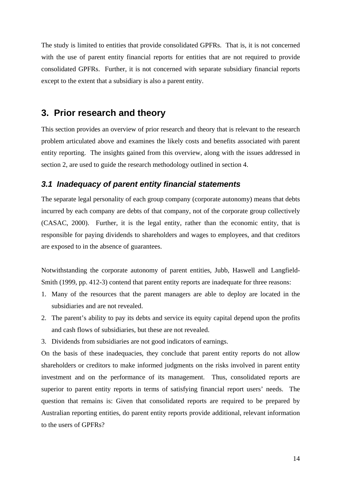The study is limited to entities that provide consolidated GPFRs. That is, it is not concerned with the use of parent entity financial reports for entities that are not required to provide consolidated GPFRs. Further, it is not concerned with separate subsidiary financial reports except to the extent that a subsidiary is also a parent entity.

# **3. Prior research and theory**

This section provides an overview of prior research and theory that is relevant to the research problem articulated above and examines the likely costs and benefits associated with parent entity reporting. The insights gained from this overview, along with the issues addressed in section 2, are used to guide the research methodology outlined in section 4.

# *3.1 Inadequacy of parent entity financial statements*

The separate legal personality of each group company (corporate autonomy) means that debts incurred by each company are debts of that company, not of the corporate group collectively (CASAC, 2000). Further, it is the legal entity, rather than the economic entity, that is responsible for paying dividends to shareholders and wages to employees, and that creditors are exposed to in the absence of guarantees.

Notwithstanding the corporate autonomy of parent entities, Jubb, Haswell and Langfield-Smith (1999, pp. 412-3) contend that parent entity reports are inadequate for three reasons:

- 1. Many of the resources that the parent managers are able to deploy are located in the subsidiaries and are not revealed.
- 2. The parent's ability to pay its debts and service its equity capital depend upon the profits and cash flows of subsidiaries, but these are not revealed.
- 3. Dividends from subsidiaries are not good indicators of earnings.

On the basis of these inadequacies, they conclude that parent entity reports do not allow shareholders or creditors to make informed judgments on the risks involved in parent entity investment and on the performance of its management. Thus, consolidated reports are superior to parent entity reports in terms of satisfying financial report users' needs. The question that remains is: Given that consolidated reports are required to be prepared by Australian reporting entities, do parent entity reports provide additional, relevant information to the users of GPFRs?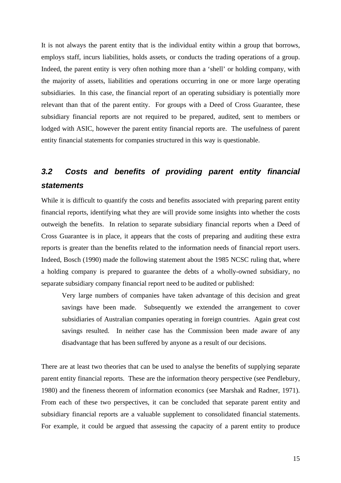It is not always the parent entity that is the individual entity within a group that borrows, employs staff, incurs liabilities, holds assets, or conducts the trading operations of a group. Indeed, the parent entity is very often nothing more than a 'shell' or holding company, with the majority of assets, liabilities and operations occurring in one or more large operating subsidiaries. In this case, the financial report of an operating subsidiary is potentially more relevant than that of the parent entity. For groups with a Deed of Cross Guarantee, these subsidiary financial reports are not required to be prepared, audited, sent to members or lodged with ASIC, however the parent entity financial reports are. The usefulness of parent entity financial statements for companies structured in this way is questionable.

# *3.2 Costs and benefits of providing parent entity financial statements*

While it is difficult to quantify the costs and benefits associated with preparing parent entity financial reports, identifying what they are will provide some insights into whether the costs outweigh the benefits. In relation to separate subsidiary financial reports when a Deed of Cross Guarantee is in place, it appears that the costs of preparing and auditing these extra reports is greater than the benefits related to the information needs of financial report users. Indeed, Bosch (1990) made the following statement about the 1985 NCSC ruling that, where a holding company is prepared to guarantee the debts of a wholly-owned subsidiary, no separate subsidiary company financial report need to be audited or published:

Very large numbers of companies have taken advantage of this decision and great savings have been made. Subsequently we extended the arrangement to cover subsidiaries of Australian companies operating in foreign countries. Again great cost savings resulted. In neither case has the Commission been made aware of any disadvantage that has been suffered by anyone as a result of our decisions.

There are at least two theories that can be used to analyse the benefits of supplying separate parent entity financial reports. These are the information theory perspective (see Pendlebury, 1980) and the fineness theorem of information economics (see Marshak and Radner, 1971). From each of these two perspectives, it can be concluded that separate parent entity and subsidiary financial reports are a valuable supplement to consolidated financial statements. For example, it could be argued that assessing the capacity of a parent entity to produce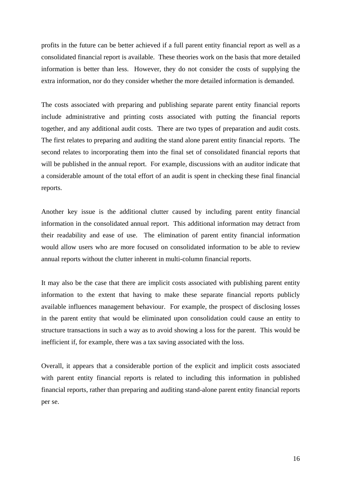profits in the future can be better achieved if a full parent entity financial report as well as a consolidated financial report is available. These theories work on the basis that more detailed information is better than less. However, they do not consider the costs of supplying the extra information, nor do they consider whether the more detailed information is demanded.

The costs associated with preparing and publishing separate parent entity financial reports include administrative and printing costs associated with putting the financial reports together, and any additional audit costs. There are two types of preparation and audit costs. The first relates to preparing and auditing the stand alone parent entity financial reports. The second relates to incorporating them into the final set of consolidated financial reports that will be published in the annual report. For example, discussions with an auditor indicate that a considerable amount of the total effort of an audit is spent in checking these final financial reports.

Another key issue is the additional clutter caused by including parent entity financial information in the consolidated annual report. This additional information may detract from their readability and ease of use. The elimination of parent entity financial information would allow users who are more focused on consolidated information to be able to review annual reports without the clutter inherent in multi-column financial reports.

It may also be the case that there are implicit costs associated with publishing parent entity information to the extent that having to make these separate financial reports publicly available influences management behaviour. For example, the prospect of disclosing losses in the parent entity that would be eliminated upon consolidation could cause an entity to structure transactions in such a way as to avoid showing a loss for the parent. This would be inefficient if, for example, there was a tax saving associated with the loss.

Overall, it appears that a considerable portion of the explicit and implicit costs associated with parent entity financial reports is related to including this information in published financial reports, rather than preparing and auditing stand-alone parent entity financial reports per se.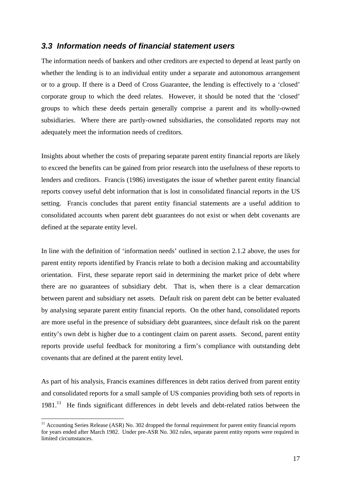# *3.3 Information needs of financial statement users*

The information needs of bankers and other creditors are expected to depend at least partly on whether the lending is to an individual entity under a separate and autonomous arrangement or to a group. If there is a Deed of Cross Guarantee, the lending is effectively to a 'closed' corporate group to which the deed relates. However, it should be noted that the 'closed' groups to which these deeds pertain generally comprise a parent and its wholly-owned subsidiaries. Where there are partly-owned subsidiaries, the consolidated reports may not adequately meet the information needs of creditors.

Insights about whether the costs of preparing separate parent entity financial reports are likely to exceed the benefits can be gained from prior research into the usefulness of these reports to lenders and creditors. Francis (1986) investigates the issue of whether parent entity financial reports convey useful debt information that is lost in consolidated financial reports in the US setting. Francis concludes that parent entity financial statements are a useful addition to consolidated accounts when parent debt guarantees do not exist or when debt covenants are defined at the separate entity level.

In line with the definition of 'information needs' outlined in section 2.1.2 above, the uses for parent entity reports identified by Francis relate to both a decision making and accountability orientation. First, these separate report said in determining the market price of debt where there are no guarantees of subsidiary debt. That is, when there is a clear demarcation between parent and subsidiary net assets. Default risk on parent debt can be better evaluated by analysing separate parent entity financial reports. On the other hand, consolidated reports are more useful in the presence of subsidiary debt guarantees, since default risk on the parent entity's own debt is higher due to a contingent claim on parent assets. Second, parent entity reports provide useful feedback for monitoring a firm's compliance with outstanding debt covenants that are defined at the parent entity level.

As part of his analysis, Francis examines differences in debt ratios derived from parent entity and consolidated reports for a small sample of US companies providing both sets of reports in  $1981$ .<sup>11</sup> He finds significant differences in debt levels and debt-related ratios between the

 $\overline{a}$ 

<sup>&</sup>lt;sup>11</sup> Accounting Series Release (ASR) No. 302 dropped the formal requirement for parent entity financial reports for years ended after March 1982. Under pre-ASR No. 302 rules, separate parent entity reports were required in limited circumstances.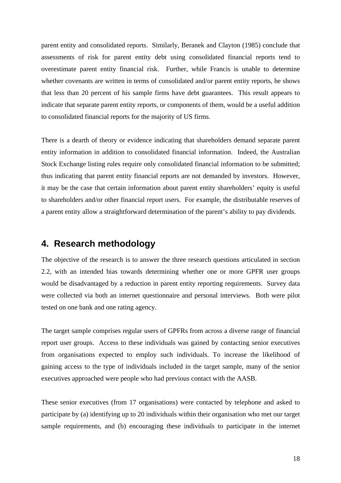parent entity and consolidated reports. Similarly, Beranek and Clayton (1985) conclude that assessments of risk for parent entity debt using consolidated financial reports tend to overestimate parent entity financial risk. Further, while Francis is unable to determine whether covenants are written in terms of consolidated and/or parent entity reports, he shows that less than 20 percent of his sample firms have debt guarantees. This result appears to indicate that separate parent entity reports, or components of them, would be a useful addition to consolidated financial reports for the majority of US firms.

There is a dearth of theory or evidence indicating that shareholders demand separate parent entity information in addition to consolidated financial information. Indeed, the Australian Stock Exchange listing rules require only consolidated financial information to be submitted; thus indicating that parent entity financial reports are not demanded by investors. However, it may be the case that certain information about parent entity shareholders' equity is useful to shareholders and/or other financial report users. For example, the distributable reserves of a parent entity allow a straightforward determination of the parent's ability to pay dividends.

# **4. Research methodology**

The objective of the research is to answer the three research questions articulated in section 2.2, with an intended bias towards determining whether one or more GPFR user groups would be disadvantaged by a reduction in parent entity reporting requirements. Survey data were collected via both an internet questionnaire and personal interviews. Both were pilot tested on one bank and one rating agency.

The target sample comprises regular users of GPFRs from across a diverse range of financial report user groups. Access to these individuals was gained by contacting senior executives from organisations expected to employ such individuals. To increase the likelihood of gaining access to the type of individuals included in the target sample, many of the senior executives approached were people who had previous contact with the AASB.

These senior executives (from 17 organisations) were contacted by telephone and asked to participate by (a) identifying up to 20 individuals within their organisation who met our target sample requirements, and (b) encouraging these individuals to participate in the internet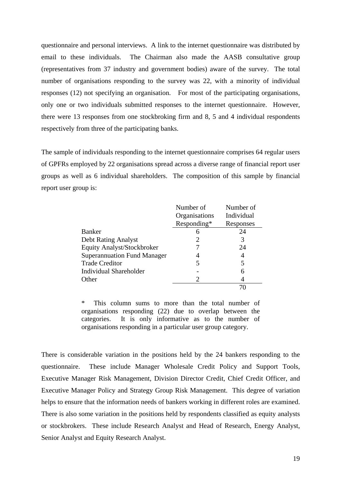questionnaire and personal interviews. A link to the internet questionnaire was distributed by email to these individuals. The Chairman also made the AASB consultative group (representatives from 37 industry and government bodies) aware of the survey. The total number of organisations responding to the survey was 22, with a minority of individual responses (12) not specifying an organisation. For most of the participating organisations, only one or two individuals submitted responses to the internet questionnaire. However, there were 13 responses from one stockbroking firm and 8, 5 and 4 individual respondents respectively from three of the participating banks.

The sample of individuals responding to the internet questionnaire comprises 64 regular users of GPFRs employed by 22 organisations spread across a diverse range of financial report user groups as well as 6 individual shareholders. The composition of this sample by financial report user group is:

|                                    | Number of     | Number of  |
|------------------------------------|---------------|------------|
|                                    | Organisations | Individual |
|                                    | Responding*   | Responses  |
| Banker                             | 6             | 24         |
| <b>Debt Rating Analyst</b>         | 2             | 3          |
| <b>Equity Analyst/Stockbroker</b>  |               | 24         |
| <b>Superannuation Fund Manager</b> |               | 4          |
| <b>Trade Creditor</b>              | 5             | 5          |
| Individual Shareholder             |               |            |
| Other                              | 2             |            |
|                                    |               |            |

\* This column sums to more than the total number of organisations responding (22) due to overlap between the categories. It is only informative as to the number of organisations responding in a particular user group category.

There is considerable variation in the positions held by the 24 bankers responding to the questionnaire. These include Manager Wholesale Credit Policy and Support Tools, Executive Manager Risk Management, Division Director Credit, Chief Credit Officer, and Executive Manager Policy and Strategy Group Risk Management. This degree of variation helps to ensure that the information needs of bankers working in different roles are examined. There is also some variation in the positions held by respondents classified as equity analysts or stockbrokers. These include Research Analyst and Head of Research, Energy Analyst, Senior Analyst and Equity Research Analyst.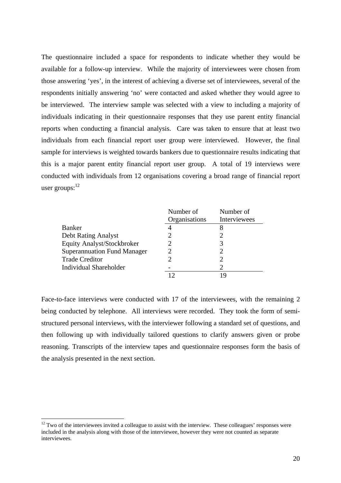The questionnaire included a space for respondents to indicate whether they would be available for a follow-up interview. While the majority of interviewees were chosen from those answering 'yes', in the interest of achieving a diverse set of interviewees, several of the respondents initially answering 'no' were contacted and asked whether they would agree to be interviewed. The interview sample was selected with a view to including a majority of individuals indicating in their questionnaire responses that they use parent entity financial reports when conducting a financial analysis. Care was taken to ensure that at least two individuals from each financial report user group were interviewed. However, the final sample for interviews is weighted towards bankers due to questionnaire results indicating that this is a major parent entity financial report user group. A total of 19 interviews were conducted with individuals from 12 organisations covering a broad range of financial report user groups: $^{12}$ 

|                                    | Number of     | Number of                   |
|------------------------------------|---------------|-----------------------------|
|                                    | Organisations | Interviewees                |
| Banker                             |               |                             |
| <b>Debt Rating Analyst</b>         |               |                             |
| Equity Analyst/Stockbroker         |               | 3                           |
| <b>Superannuation Fund Manager</b> |               | 2                           |
| <b>Trade Creditor</b>              |               | 2                           |
| <b>Individual Shareholder</b>      |               | $\mathcal{D}_{\mathcal{L}}$ |
|                                    |               |                             |

Face-to-face interviews were conducted with 17 of the interviewees, with the remaining 2 being conducted by telephone. All interviews were recorded. They took the form of semistructured personal interviews, with the interviewer following a standard set of questions, and then following up with individually tailored questions to clarify answers given or probe reasoning. Transcripts of the interview tapes and questionnaire responses form the basis of the analysis presented in the next section.

 $\overline{a}$ 

 $12$  Two of the interviewees invited a colleague to assist with the interview. These colleagues' responses were included in the analysis along with those of the interviewee, however they were not counted as separate interviewees.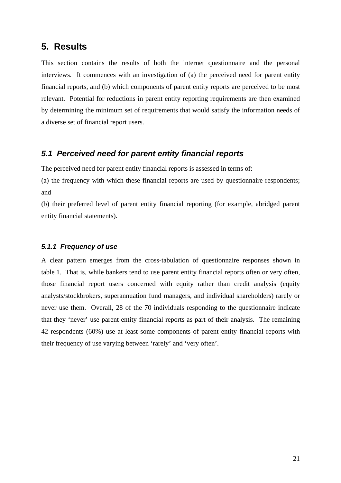# **5. Results**

This section contains the results of both the internet questionnaire and the personal interviews. It commences with an investigation of (a) the perceived need for parent entity financial reports, and (b) which components of parent entity reports are perceived to be most relevant. Potential for reductions in parent entity reporting requirements are then examined by determining the minimum set of requirements that would satisfy the information needs of a diverse set of financial report users.

# *5.1 Perceived need for parent entity financial reports*

The perceived need for parent entity financial reports is assessed in terms of:

(a) the frequency with which these financial reports are used by questionnaire respondents; and

(b) their preferred level of parent entity financial reporting (for example, abridged parent entity financial statements).

#### *5.1.1 Frequency of use*

A clear pattern emerges from the cross-tabulation of questionnaire responses shown in table 1. That is, while bankers tend to use parent entity financial reports often or very often, those financial report users concerned with equity rather than credit analysis (equity analysts/stockbrokers, superannuation fund managers, and individual shareholders) rarely or never use them. Overall, 28 of the 70 individuals responding to the questionnaire indicate that they 'never' use parent entity financial reports as part of their analysis. The remaining 42 respondents (60%) use at least some components of parent entity financial reports with their frequency of use varying between 'rarely' and 'very often'.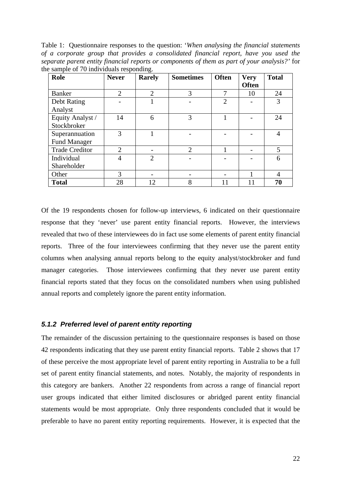Table 1: Questionnaire responses to the question: '*When analysing the financial statements of a corporate group that provides a consolidated financial report, have you used the separate parent entity financial reports or components of them as part of your analysis?'* for the sample of 70 individuals responding.

| Role                  | <b>Never</b>   | <b>Rarely</b>  | <b>Sometimes</b>            | <b>Often</b>   | <b>Very</b><br><b>Often</b> | <b>Total</b>   |
|-----------------------|----------------|----------------|-----------------------------|----------------|-----------------------------|----------------|
| <b>Banker</b>         | 2              | $\overline{2}$ | 3                           | $\mathbf{r}$   | 10                          | 24             |
| Debt Rating           |                |                |                             | $\overline{2}$ |                             | 3              |
| Analyst               |                |                |                             |                |                             |                |
| Equity Analyst /      | 14             | 6              | 3                           |                |                             | 24             |
| Stockbroker           |                |                |                             |                |                             |                |
| Superannuation        | 3              |                |                             |                |                             | $\overline{4}$ |
| <b>Fund Manager</b>   |                |                |                             |                |                             |                |
| <b>Trade Creditor</b> | $\overline{2}$ |                | $\mathcal{D}_{\mathcal{A}}$ |                |                             | 5              |
| Individual            | $\overline{4}$ | $\overline{2}$ |                             |                |                             | 6              |
| Shareholder           |                |                |                             |                |                             |                |
| Other                 | 3              |                |                             |                |                             | 4              |
| <b>Total</b>          | 28             | 12             | 8                           | 11             |                             | 70             |

Of the 19 respondents chosen for follow-up interviews, 6 indicated on their questionnaire response that they 'never' use parent entity financial reports. However, the interviews revealed that two of these interviewees do in fact use some elements of parent entity financial reports. Three of the four interviewees confirming that they never use the parent entity columns when analysing annual reports belong to the equity analyst/stockbroker and fund manager categories. Those interviewees confirming that they never use parent entity financial reports stated that they focus on the consolidated numbers when using published annual reports and completely ignore the parent entity information.

### *5.1.2 Preferred level of parent entity reporting*

The remainder of the discussion pertaining to the questionnaire responses is based on those 42 respondents indicating that they use parent entity financial reports. Table 2 shows that 17 of these perceive the most appropriate level of parent entity reporting in Australia to be a full set of parent entity financial statements, and notes. Notably, the majority of respondents in this category are bankers. Another 22 respondents from across a range of financial report user groups indicated that either limited disclosures or abridged parent entity financial statements would be most appropriate. Only three respondents concluded that it would be preferable to have no parent entity reporting requirements. However, it is expected that the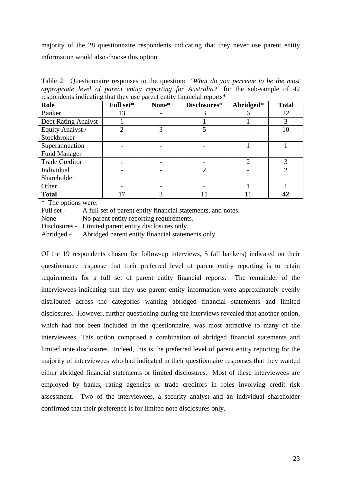majority of the 28 questionnaire respondents indicating that they never use parent entity information would also choose this option.

Table 2: Questionnaire responses to the question: '*What do you perceive to be the most appropriate level of parent entity reporting for Australia?'* for the sub-sample of 42 respondents indicating that they use parent entity financial reports\*

| Role                       | Full set* | None* | Disclosures* | Abridged* | <b>Total</b> |
|----------------------------|-----------|-------|--------------|-----------|--------------|
| <b>Banker</b>              | 13        |       |              |           | 22           |
| <b>Debt Rating Analyst</b> |           |       |              |           | 3            |
| Equity Analyst /           | ∍         | 3     |              |           | 10           |
| Stockbroker                |           |       |              |           |              |
| Superannuation             |           |       |              |           |              |
| <b>Fund Manager</b>        |           |       |              |           |              |
| <b>Trade Creditor</b>      |           |       |              | ∍         | 3            |
| Individual                 |           |       |              |           | ↑            |
| Shareholder                |           |       |              |           |              |
| Other                      |           |       |              |           |              |
| <b>Total</b>               | 17        | 3     |              |           | 42           |

\* The options were:

Full set - A full set of parent entity financial statements, and notes.

None - No parent entity reporting requirements.

Disclosures - Limited parent entity disclosures only.

Abridged - Abridged parent entity financial statements only.

Of the 19 respondents chosen for follow-up interviews, 5 (all bankers) indicated on their questionnaire response that their preferred level of parent entity reporting is to retain requirements for a full set of parent entity financial reports. The remainder of the interviewees indicating that they use parent entity information were approximately evenly distributed across the categories wanting abridged financial statements and limited disclosures. However, further questioning during the interviews revealed that another option, which had not been included in the questionnaire, was most attractive to many of the interviewees. This option comprised a combination of abridged financial statements and limited note disclosures. Indeed, this is the preferred level of parent entity reporting for the majority of interviewees who had indicated in their questionnaire responses that they wanted either abridged financial statements or limited disclosures. Most of these interviewees are employed by banks, rating agencies or trade creditors in roles involving credit risk assessment. Two of the interviewees, a security analyst and an individual shareholder confirmed that their preference is for limited note disclosures only.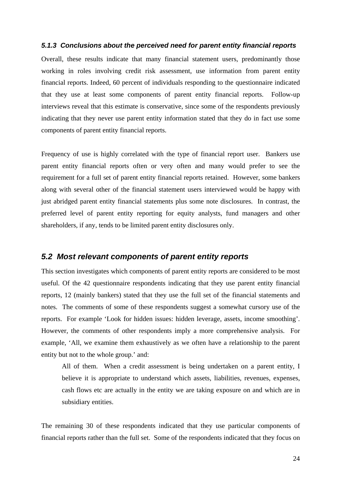#### *5.1.3 Conclusions about the perceived need for parent entity financial reports*

Overall, these results indicate that many financial statement users, predominantly those working in roles involving credit risk assessment, use information from parent entity financial reports. Indeed, 60 percent of individuals responding to the questionnaire indicated that they use at least some components of parent entity financial reports. Follow-up interviews reveal that this estimate is conservative, since some of the respondents previously indicating that they never use parent entity information stated that they do in fact use some components of parent entity financial reports.

Frequency of use is highly correlated with the type of financial report user. Bankers use parent entity financial reports often or very often and many would prefer to see the requirement for a full set of parent entity financial reports retained. However, some bankers along with several other of the financial statement users interviewed would be happy with just abridged parent entity financial statements plus some note disclosures. In contrast, the preferred level of parent entity reporting for equity analysts, fund managers and other shareholders, if any, tends to be limited parent entity disclosures only.

# *5.2 Most relevant components of parent entity reports*

This section investigates which components of parent entity reports are considered to be most useful. Of the 42 questionnaire respondents indicating that they use parent entity financial reports, 12 (mainly bankers) stated that they use the full set of the financial statements and notes. The comments of some of these respondents suggest a somewhat cursory use of the reports. For example 'Look for hidden issues: hidden leverage, assets, income smoothing'. However, the comments of other respondents imply a more comprehensive analysis. For example, 'All, we examine them exhaustively as we often have a relationship to the parent entity but not to the whole group.' and:

All of them. When a credit assessment is being undertaken on a parent entity, I believe it is appropriate to understand which assets, liabilities, revenues, expenses, cash flows etc are actually in the entity we are taking exposure on and which are in subsidiary entities.

The remaining 30 of these respondents indicated that they use particular components of financial reports rather than the full set. Some of the respondents indicated that they focus on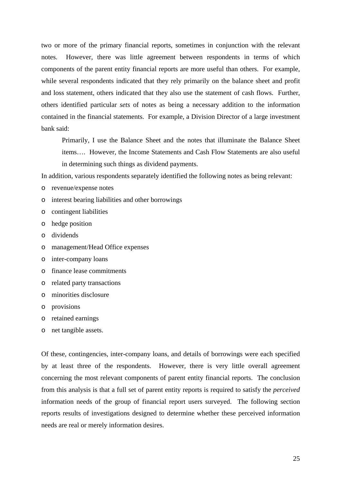two or more of the primary financial reports, sometimes in conjunction with the relevant notes. However, there was little agreement between respondents in terms of which components of the parent entity financial reports are more useful than others. For example, while several respondents indicated that they rely primarily on the balance sheet and profit and loss statement, others indicated that they also use the statement of cash flows. Further, others identified particular *sets* of notes as being a necessary addition to the information contained in the financial statements. For example, a Division Director of a large investment bank said:

Primarily, I use the Balance Sheet and the notes that illuminate the Balance Sheet items…. However, the Income Statements and Cash Flow Statements are also useful in determining such things as dividend payments.

In addition, various respondents separately identified the following notes as being relevant:

- o revenue/expense notes
- o interest bearing liabilities and other borrowings
- o contingent liabilities
- o hedge position
- o dividends
- o management/Head Office expenses
- o inter-company loans
- o finance lease commitments
- o related party transactions
- o minorities disclosure
- o provisions
- o retained earnings
- o net tangible assets.

Of these, contingencies, inter-company loans, and details of borrowings were each specified by at least three of the respondents. However, there is very little overall agreement concerning the most relevant components of parent entity financial reports. The conclusion from this analysis is that a full set of parent entity reports is required to satisfy the *perceived* information needs of the group of financial report users surveyed. The following section reports results of investigations designed to determine whether these perceived information needs are real or merely information desires.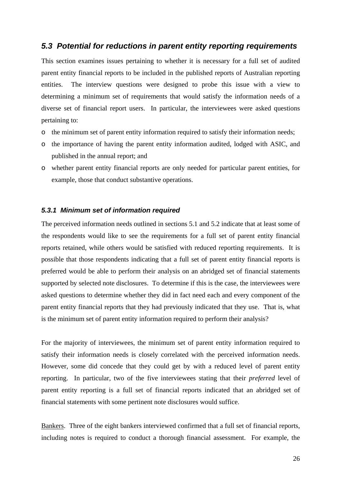# *5.3 Potential for reductions in parent entity reporting requirements*

This section examines issues pertaining to whether it is necessary for a full set of audited parent entity financial reports to be included in the published reports of Australian reporting entities. The interview questions were designed to probe this issue with a view to determining a minimum set of requirements that would satisfy the information needs of a diverse set of financial report users. In particular, the interviewees were asked questions pertaining to:

- o the minimum set of parent entity information required to satisfy their information needs;
- o the importance of having the parent entity information audited, lodged with ASIC, and published in the annual report; and
- o whether parent entity financial reports are only needed for particular parent entities, for example, those that conduct substantive operations.

### *5.3.1 Minimum set of information required*

The perceived information needs outlined in sections 5.1 and 5.2 indicate that at least some of the respondents would like to see the requirements for a full set of parent entity financial reports retained, while others would be satisfied with reduced reporting requirements. It is possible that those respondents indicating that a full set of parent entity financial reports is preferred would be able to perform their analysis on an abridged set of financial statements supported by selected note disclosures. To determine if this is the case, the interviewees were asked questions to determine whether they did in fact need each and every component of the parent entity financial reports that they had previously indicated that they use. That is, what is the minimum set of parent entity information required to perform their analysis?

For the majority of interviewees, the minimum set of parent entity information required to satisfy their information needs is closely correlated with the perceived information needs. However, some did concede that they could get by with a reduced level of parent entity reporting. In particular, two of the five interviewees stating that their *preferred* level of parent entity reporting is a full set of financial reports indicated that an abridged set of financial statements with some pertinent note disclosures would suffice.

Bankers. Three of the eight bankers interviewed confirmed that a full set of financial reports, including notes is required to conduct a thorough financial assessment. For example, the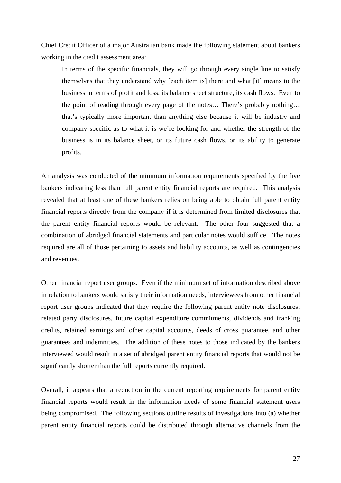Chief Credit Officer of a major Australian bank made the following statement about bankers working in the credit assessment area:

In terms of the specific financials, they will go through every single line to satisfy themselves that they understand why [each item is] there and what [it] means to the business in terms of profit and loss, its balance sheet structure, its cash flows. Even to the point of reading through every page of the notes… There's probably nothing… that's typically more important than anything else because it will be industry and company specific as to what it is we're looking for and whether the strength of the business is in its balance sheet, or its future cash flows, or its ability to generate profits.

An analysis was conducted of the minimum information requirements specified by the five bankers indicating less than full parent entity financial reports are required. This analysis revealed that at least one of these bankers relies on being able to obtain full parent entity financial reports directly from the company if it is determined from limited disclosures that the parent entity financial reports would be relevant. The other four suggested that a combination of abridged financial statements and particular notes would suffice. The notes required are all of those pertaining to assets and liability accounts, as well as contingencies and revenues.

Other financial report user groups. Even if the minimum set of information described above in relation to bankers would satisfy their information needs, interviewees from other financial report user groups indicated that they require the following parent entity note disclosures: related party disclosures, future capital expenditure commitments, dividends and franking credits, retained earnings and other capital accounts, deeds of cross guarantee, and other guarantees and indemnities. The addition of these notes to those indicated by the bankers interviewed would result in a set of abridged parent entity financial reports that would not be significantly shorter than the full reports currently required.

Overall, it appears that a reduction in the current reporting requirements for parent entity financial reports would result in the information needs of some financial statement users being compromised. The following sections outline results of investigations into (a) whether parent entity financial reports could be distributed through alternative channels from the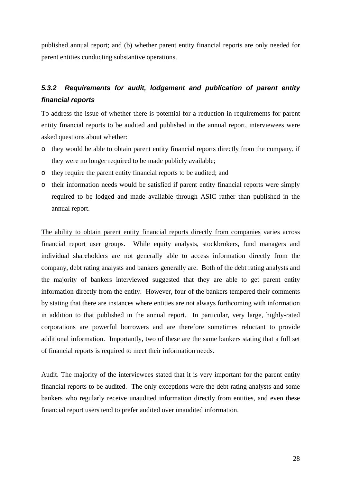published annual report; and (b) whether parent entity financial reports are only needed for parent entities conducting substantive operations.

# *5.3.2 Requirements for audit, lodgement and publication of parent entity financial reports*

To address the issue of whether there is potential for a reduction in requirements for parent entity financial reports to be audited and published in the annual report, interviewees were asked questions about whether:

- o they would be able to obtain parent entity financial reports directly from the company, if they were no longer required to be made publicly available;
- o they require the parent entity financial reports to be audited; and
- o their information needs would be satisfied if parent entity financial reports were simply required to be lodged and made available through ASIC rather than published in the annual report.

The ability to obtain parent entity financial reports directly from companies varies across financial report user groups. While equity analysts, stockbrokers, fund managers and individual shareholders are not generally able to access information directly from the company, debt rating analysts and bankers generally are. Both of the debt rating analysts and the majority of bankers interviewed suggested that they are able to get parent entity information directly from the entity. However, four of the bankers tempered their comments by stating that there are instances where entities are not always forthcoming with information in addition to that published in the annual report. In particular, very large, highly-rated corporations are powerful borrowers and are therefore sometimes reluctant to provide additional information. Importantly, two of these are the same bankers stating that a full set of financial reports is required to meet their information needs.

Audit. The majority of the interviewees stated that it is very important for the parent entity financial reports to be audited. The only exceptions were the debt rating analysts and some bankers who regularly receive unaudited information directly from entities, and even these financial report users tend to prefer audited over unaudited information.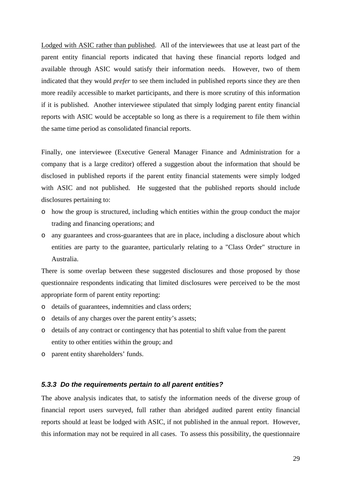Lodged with ASIC rather than published. All of the interviewees that use at least part of the parent entity financial reports indicated that having these financial reports lodged and available through ASIC would satisfy their information needs. However, two of them indicated that they would *prefer* to see them included in published reports since they are then more readily accessible to market participants, and there is more scrutiny of this information if it is published. Another interviewee stipulated that simply lodging parent entity financial reports with ASIC would be acceptable so long as there is a requirement to file them within the same time period as consolidated financial reports.

Finally, one interviewee (Executive General Manager Finance and Administration for a company that is a large creditor) offered a suggestion about the information that should be disclosed in published reports if the parent entity financial statements were simply lodged with ASIC and not published. He suggested that the published reports should include disclosures pertaining to:

- o how the group is structured, including which entities within the group conduct the major trading and financing operations; and
- o any guarantees and cross-guarantees that are in place, including a disclosure about which entities are party to the guarantee, particularly relating to a "Class Order" structure in Australia.

There is some overlap between these suggested disclosures and those proposed by those questionnaire respondents indicating that limited disclosures were perceived to be the most appropriate form of parent entity reporting:

- o details of guarantees, indemnities and class orders;
- o details of any charges over the parent entity's assets;
- o details of any contract or contingency that has potential to shift value from the parent entity to other entities within the group; and
- o parent entity shareholders' funds.

#### *5.3.3 Do the requirements pertain to all parent entities?*

The above analysis indicates that, to satisfy the information needs of the diverse group of financial report users surveyed, full rather than abridged audited parent entity financial reports should at least be lodged with ASIC, if not published in the annual report. However, this information may not be required in all cases. To assess this possibility, the questionnaire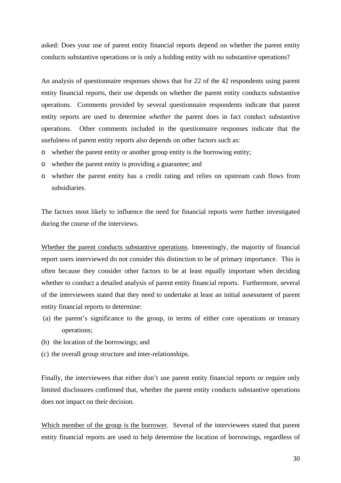asked: Does your use of parent entity financial reports depend on whether the parent entity conducts substantive operations or is only a holding entity with no substantive operations?

An analysis of questionnaire responses shows that for 22 of the 42 respondents using parent entity financial reports, their use depends on whether the parent entity conducts substantive operations. Comments provided by several questionnaire respondents indicate that parent entity reports are used to determine *whether* the parent does in fact conduct substantive operations. Other comments included in the questionnaire responses indicate that the usefulness of parent entity reports also depends on other factors such as:

- o whether the parent entity or another group entity is the borrowing entity;
- o whether the parent entity is providing a guarantee; and
- o whether the parent entity has a credit rating and relies on upstream cash flows from subsidiaries.

The factors most likely to influence the need for financial reports were further investigated during the course of the interviews.

Whether the parent conducts substantive operations. Interestingly, the majority of financial report users interviewed do not consider this distinction to be of primary importance. This is often because they consider other factors to be at least equally important when deciding whether to conduct a detailed analysis of parent entity financial reports. Furthermore, several of the interviewees stated that they need to undertake at least an initial assessment of parent entity financial reports to determine:

- (a) the parent's significance to the group, in terms of either core operations or treasury operations;
- (b) the location of the borrowings; and
- (c) the overall group structure and inter-relationships.

Finally, the interviewees that either don't use parent entity financial reports or require only limited disclosures confirmed that, whether the parent entity conducts substantive operations does not impact on their decision.

Which member of the group is the borrower. Several of the interviewees stated that parent entity financial reports are used to help determine the location of borrowings, regardless of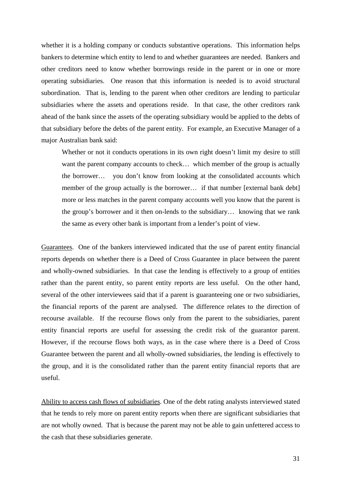whether it is a holding company or conducts substantive operations. This information helps bankers to determine which entity to lend to and whether guarantees are needed. Bankers and other creditors need to know whether borrowings reside in the parent or in one or more operating subsidiaries. One reason that this information is needed is to avoid structural subordination. That is, lending to the parent when other creditors are lending to particular subsidiaries where the assets and operations reside. In that case, the other creditors rank ahead of the bank since the assets of the operating subsidiary would be applied to the debts of that subsidiary before the debts of the parent entity. For example, an Executive Manager of a major Australian bank said:

Whether or not it conducts operations in its own right doesn't limit my desire to still want the parent company accounts to check... which member of the group is actually the borrower… you don't know from looking at the consolidated accounts which member of the group actually is the borrower... if that number [external bank debt] more or less matches in the parent company accounts well you know that the parent is the group's borrower and it then on-lends to the subsidiary… knowing that we rank the same as every other bank is important from a lender's point of view.

Guarantees. One of the bankers interviewed indicated that the use of parent entity financial reports depends on whether there is a Deed of Cross Guarantee in place between the parent and wholly-owned subsidiaries. In that case the lending is effectively to a group of entities rather than the parent entity, so parent entity reports are less useful. On the other hand, several of the other interviewees said that if a parent is guaranteeing one or two subsidiaries, the financial reports of the parent are analysed. The difference relates to the direction of recourse available. If the recourse flows only from the parent to the subsidiaries, parent entity financial reports are useful for assessing the credit risk of the guarantor parent. However, if the recourse flows both ways, as in the case where there is a Deed of Cross Guarantee between the parent and all wholly-owned subsidiaries, the lending is effectively to the group, and it is the consolidated rather than the parent entity financial reports that are useful.

Ability to access cash flows of subsidiaries. One of the debt rating analysts interviewed stated that he tends to rely more on parent entity reports when there are significant subsidiaries that are not wholly owned. That is because the parent may not be able to gain unfettered access to the cash that these subsidiaries generate.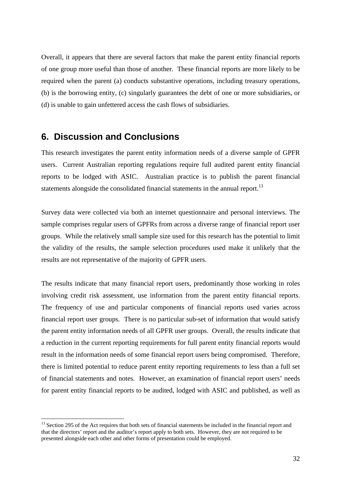Overall, it appears that there are several factors that make the parent entity financial reports of one group more useful than those of another. These financial reports are more likely to be required when the parent (a) conducts substantive operations, including treasury operations, (b) is the borrowing entity, (c) singularly guarantees the debt of one or more subsidiaries, or (d) is unable to gain unfettered access the cash flows of subsidiaries.

# **6. Discussion and Conclusions**

 $\overline{a}$ 

This research investigates the parent entity information needs of a diverse sample of GPFR users. Current Australian reporting regulations require full audited parent entity financial reports to be lodged with ASIC. Australian practice is to publish the parent financial statements alongside the consolidated financial statements in the annual report.<sup>13</sup>

Survey data were collected via both an internet questionnaire and personal interviews. The sample comprises regular users of GPFRs from across a diverse range of financial report user groups. While the relatively small sample size used for this research has the potential to limit the validity of the results, the sample selection procedures used make it unlikely that the results are not representative of the majority of GPFR users.

The results indicate that many financial report users, predominantly those working in roles involving credit risk assessment, use information from the parent entity financial reports. The frequency of use and particular components of financial reports used varies across financial report user groups. There is no particular sub-set of information that would satisfy the parent entity information needs of all GPFR user groups. Overall, the results indicate that a reduction in the current reporting requirements for full parent entity financial reports would result in the information needs of some financial report users being compromised. Therefore, there is limited potential to reduce parent entity reporting requirements to less than a full set of financial statements and notes. However, an examination of financial report users' needs for parent entity financial reports to be audited, lodged with ASIC and published, as well as

<sup>&</sup>lt;sup>13</sup> Section 295 of the Act requires that both sets of financial statements be included in the financial report and that the directors' report and the auditor's report apply to both sets. However, they are not required to be presented alongside each other and other forms of presentation could be employed.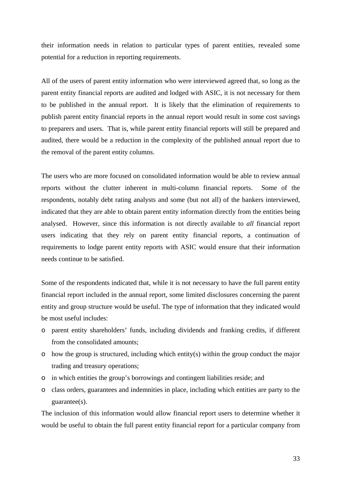their information needs in relation to particular types of parent entities, revealed some potential for a reduction in reporting requirements.

All of the users of parent entity information who were interviewed agreed that, so long as the parent entity financial reports are audited and lodged with ASIC, it is not necessary for them to be published in the annual report. It is likely that the elimination of requirements to publish parent entity financial reports in the annual report would result in some cost savings to preparers and users. That is, while parent entity financial reports will still be prepared and audited, there would be a reduction in the complexity of the published annual report due to the removal of the parent entity columns.

The users who are more focused on consolidated information would be able to review annual reports without the clutter inherent in multi-column financial reports. Some of the respondents, notably debt rating analysts and some (but not all) of the bankers interviewed, indicated that they are able to obtain parent entity information directly from the entities being analysed. However, since this information is not directly available to *all* financial report users indicating that they rely on parent entity financial reports, a continuation of requirements to lodge parent entity reports with ASIC would ensure that their information needs continue to be satisfied.

Some of the respondents indicated that, while it is not necessary to have the full parent entity financial report included in the annual report, some limited disclosures concerning the parent entity and group structure would be useful. The type of information that they indicated would be most useful includes:

- o parent entity shareholders' funds, including dividends and franking credits, if different from the consolidated amounts;
- o how the group is structured, including which entity(s) within the group conduct the major trading and treasury operations;
- o in which entities the group's borrowings and contingent liabilities reside; and
- o class orders, guarantees and indemnities in place, including which entities are party to the guarantee(s).

The inclusion of this information would allow financial report users to determine whether it would be useful to obtain the full parent entity financial report for a particular company from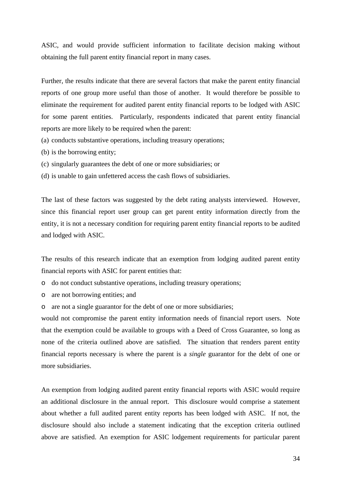ASIC, and would provide sufficient information to facilitate decision making without obtaining the full parent entity financial report in many cases.

Further, the results indicate that there are several factors that make the parent entity financial reports of one group more useful than those of another. It would therefore be possible to eliminate the requirement for audited parent entity financial reports to be lodged with ASIC for some parent entities. Particularly, respondents indicated that parent entity financial reports are more likely to be required when the parent:

- (a) conducts substantive operations, including treasury operations;
- (b) is the borrowing entity;
- (c) singularly guarantees the debt of one or more subsidiaries; or
- (d) is unable to gain unfettered access the cash flows of subsidiaries.

The last of these factors was suggested by the debt rating analysts interviewed. However, since this financial report user group can get parent entity information directly from the entity, it is not a necessary condition for requiring parent entity financial reports to be audited and lodged with ASIC.

The results of this research indicate that an exemption from lodging audited parent entity financial reports with ASIC for parent entities that:

- o do not conduct substantive operations, including treasury operations;
- o are not borrowing entities; and
- o are not a single guarantor for the debt of one or more subsidiaries;

would not compromise the parent entity information needs of financial report users. Note that the exemption could be available to groups with a Deed of Cross Guarantee, so long as none of the criteria outlined above are satisfied. The situation that renders parent entity financial reports necessary is where the parent is a *single* guarantor for the debt of one or more subsidiaries.

An exemption from lodging audited parent entity financial reports with ASIC would require an additional disclosure in the annual report. This disclosure would comprise a statement about whether a full audited parent entity reports has been lodged with ASIC. If not, the disclosure should also include a statement indicating that the exception criteria outlined above are satisfied. An exemption for ASIC lodgement requirements for particular parent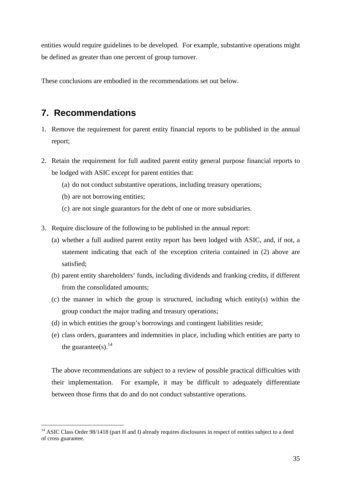entities would require guidelines to be developed. For example, substantive operations might be defined as greater than one percent of group turnover.

These conclusions are embodied in the recommendations set out below.

# **7. Recommendations**

- 1. Remove the requirement for parent entity financial reports to be published in the annual report;
- 2. Retain the requirement for full audited parent entity general purpose financial reports to be lodged with ASIC except for parent entities that:
	- (a) do not conduct substantive operations, including treasury operations;
	- (b) are not borrowing entities;

 $\overline{a}$ 

- (c) are not single guarantors for the debt of one or more subsidiaries.
- 3. Require disclosure of the following to be published in the annual report:
	- (a) whether a full audited parent entity report has been lodged with ASIC, and, if not, a statement indicating that each of the exception criteria contained in (2) above are satisfied;
	- (b) parent entity shareholders' funds, including dividends and franking credits, if different from the consolidated amounts;
	- (c) the manner in which the group is structured, including which entity(s) within the group conduct the major trading and treasury operations;
	- (d) in which entities the group's borrowings and contingent liabilities reside;
	- (e) class orders, guarantees and indemnities in place, including which entities are party to the guarantee(s).<sup>14</sup>

The above recommendations are subject to a review of possible practical difficulties with their implementation. For example, it may be difficult to adequately differentiate between those firms that do and do not conduct substantive operations.

<sup>&</sup>lt;sup>14</sup> ASIC Class Order 98/1418 (part H and I) already requires disclosures in respect of entities subject to a deed of cross guarantee.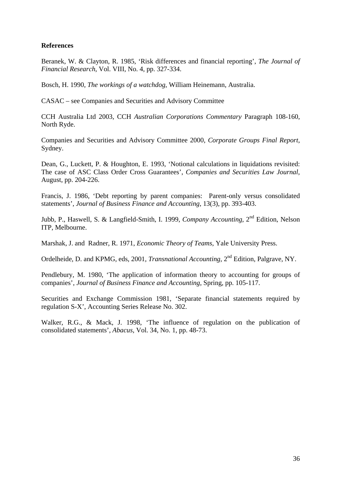# **References**

Beranek, W. & Clayton, R. 1985, 'Risk differences and financial reporting', *The Journal of Financial Research*, Vol. VIII, No. 4, pp. 327-334.

Bosch, H. 1990, *The workings of a watchdog*, William Heinemann, Australia.

CASAC – see Companies and Securities and Advisory Committee

CCH Australia Ltd 2003, CCH *Australian Corporations Commentary* Paragraph 108-160, North Ryde.

Companies and Securities and Advisory Committee 2000, *Corporate Groups Final Report*, Sydney.

Dean, G., Luckett, P. & Houghton, E. 1993, 'Notional calculations in liquidations revisited: The case of ASC Class Order Cross Guarantees', *Companies and Securities Law Journal*, August, pp. 204-226.

Francis, J. 1986, 'Debt reporting by parent companies: Parent-only versus consolidated statements', *Journal of Business Finance and Accounting*, 13(3), pp. 393-403.

Jubb, P., Haswell, S. & Langfield-Smith, I. 1999, *Company Accounting*, 2nd Edition, Nelson ITP, Melbourne.

Marshak, J. and Radner, R. 1971, *Economic Theory of Teams*, Yale University Press.

Ordelheide, D. and KPMG, eds, 2001, *Transnational Accounting*, 2<sup>nd</sup> Edition, Palgrave, NY.

Pendlebury, M. 1980, 'The application of information theory to accounting for groups of companies', *Journal of Business Finance and Accounting*, Spring, pp. 105-117.

Securities and Exchange Commission 1981, 'Separate financial statements required by regulation S-X', Accounting Series Release No. 302.

Walker, R.G., & Mack, J. 1998, 'The influence of regulation on the publication of consolidated statements', *Abacus*, Vol. 34, No. 1, pp. 48-73.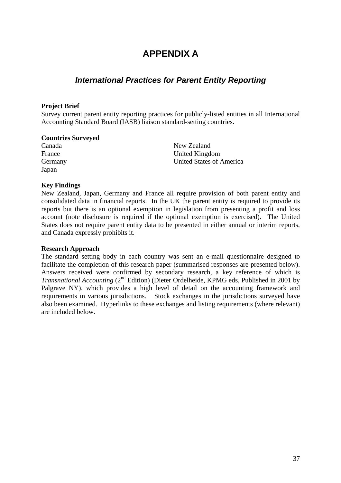# **APPENDIX A**

# *International Practices for Parent Entity Reporting*

### **Project Brief**

Survey current parent entity reporting practices for publicly-listed entities in all International Accounting Standard Board (IASB) liaison standard-setting countries.

#### **Countries Surveyed**

Canada France Germany Japan

New Zealand United Kingdom United States of America

#### **Key Findings**

New Zealand, Japan, Germany and France all require provision of both parent entity and consolidated data in financial reports. In the UK the parent entity is required to provide its reports but there is an optional exemption in legislation from presenting a profit and loss account (note disclosure is required if the optional exemption is exercised). The United States does not require parent entity data to be presented in either annual or interim reports, and Canada expressly prohibits it.

#### **Research Approach**

The standard setting body in each country was sent an e-mail questionnaire designed to facilitate the completion of this research paper (summarised responses are presented below). Answers received were confirmed by secondary research, a key reference of which is *Transnational Accounting (2<sup>nd</sup> Edition)* (Dieter Ordelheide, KPMG eds, Published in 2001 by Palgrave NY), which provides a high level of detail on the accounting framework and requirements in various jurisdictions. Stock exchanges in the jurisdictions surveyed have also been examined. Hyperlinks to these exchanges and listing requirements (where relevant) are included below.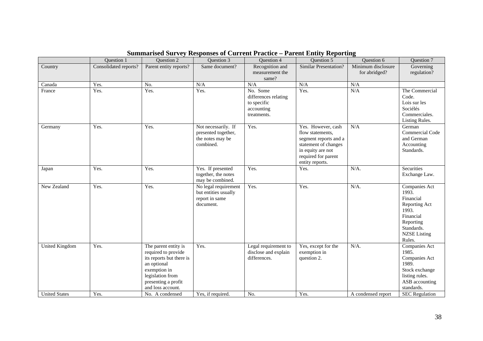|                                               | Question 1            | Question 2                                                                                                                                                                                | Question 3                                                                  | <b>Ouestion 4</b>                                                            | Question 5                                                                                                                                             | <b>Ouestion 6</b>                   | Question 7                                                                                                                                    |
|-----------------------------------------------|-----------------------|-------------------------------------------------------------------------------------------------------------------------------------------------------------------------------------------|-----------------------------------------------------------------------------|------------------------------------------------------------------------------|--------------------------------------------------------------------------------------------------------------------------------------------------------|-------------------------------------|-----------------------------------------------------------------------------------------------------------------------------------------------|
| Country                                       | Consolidated reports? | Parent entity reports?                                                                                                                                                                    | Same document?                                                              | Recognition and<br>measurement the<br>same?                                  | <b>Similar Presentation?</b>                                                                                                                           | Minimum disclosure<br>for abridged? | Governing<br>regulation?                                                                                                                      |
| Canada                                        | Yes.                  | No.                                                                                                                                                                                       | N/A                                                                         | N/A                                                                          | N/A                                                                                                                                                    | N/A                                 |                                                                                                                                               |
| France                                        | Yes.                  | Yes.                                                                                                                                                                                      | Yes.                                                                        | No. Some<br>differences relating<br>to specific<br>accounting<br>treatments. | Yes.                                                                                                                                                   | N/A                                 | The Commercial<br>Code.<br>Lois sur les<br>Sociélés<br>Commerciales.<br>Listing Rules.                                                        |
| Germany                                       | Yes.                  | Yes.                                                                                                                                                                                      | Not necessarily. If<br>presented together,<br>the notes may be<br>combined. | Yes.                                                                         | Yes. However, cash<br>flow statements,<br>segment reports and a<br>statement of changes<br>in equity are not<br>required for parent<br>entity reports. | N/A                                 | German<br><b>Commercial Code</b><br>and German<br>Accounting<br>Standards.                                                                    |
| Japan                                         | Yes.                  | Yes.                                                                                                                                                                                      | Yes. If presented<br>together, the notes<br>may be combined.                | Yes.                                                                         | Yes.                                                                                                                                                   | $N/A$ .                             | Securities<br>Exchange Law.                                                                                                                   |
| New Zealand                                   | Yes.                  | Yes.                                                                                                                                                                                      | No legal requirement<br>but entities usually<br>report in same<br>document. | Yes.                                                                         | Yes.                                                                                                                                                   | $N/A$ .                             | Companies Act<br>1993.<br>Financial<br>Reporting Act<br>1993.<br>Financial<br>Reporting<br>Standards.<br><b>NZSE</b> Listing<br>Rules.        |
| <b>United Kingdom</b><br><b>United States</b> | Yes.<br>Yes.          | The parent entity is<br>required to provide<br>its reports but there is<br>an optional<br>exemption in<br>legislation from<br>presenting a profit<br>and loss account.<br>No. A condensed | Yes.<br>Yes, if required.                                                   | Legal requirement to<br>disclose and explain<br>differences.<br>No.          | Yes, except for the<br>exemption in<br>question 2.<br>Yes.                                                                                             | $N/A$ .<br>A condensed report       | Companies Act<br>1985.<br>Companies Act<br>1989.<br>Stock exchange<br>listing rules.<br>ASB accounting<br>standards.<br><b>SEC</b> Regulation |

# **Summarised Survey Responses of Current Practice – Parent Entity Reporting**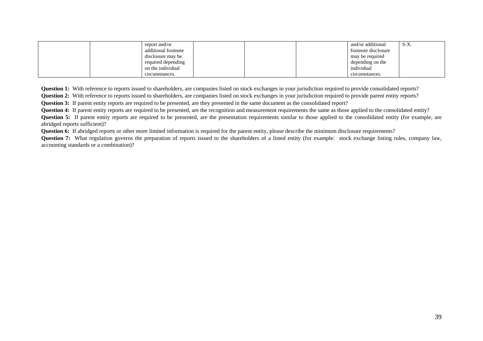|  | report and/or       |  | and/or additional   | $S-X$ . |
|--|---------------------|--|---------------------|---------|
|  | additional footnote |  | footnote disclosure |         |
|  | disclosure may be   |  | may be required     |         |
|  | required depending  |  | depending on the    |         |
|  | on the individual   |  | individual          |         |
|  | circumstances.      |  | circumstances.      |         |

Question 1: With reference to reports issued to shareholders, are companies listed on stock exchanges in your jurisdiction required to provide consolidated reports?

**Question 2:** With reference to reports issued to shareholders, are companies listed on stock exchanges in your jurisdiction required to provide parent entity reports?

**Question 3:** If parent entity reports are required to be presented, are they presented in the same document as the consolidated report?

**Question 4:** If parent entity reports are required to be presented, are the recognition and measurement requirements the same as those applied to the consolidated entity?

**Question 5:** If parent entity reports are required to be presented, are the presentation requirements similar to those applied to the consolidated entity (for example, are abridged reports sufficient)?

Question 6: If abridged reports or other more limited information is required for the parent entity, please describe the minimum disclosure requirements?

**Question 7:** What regulation governs the preparation of reports issued to the shareholders of a listed entity (for example: stock exchange listing rules, company law, accounting standards or a combination)?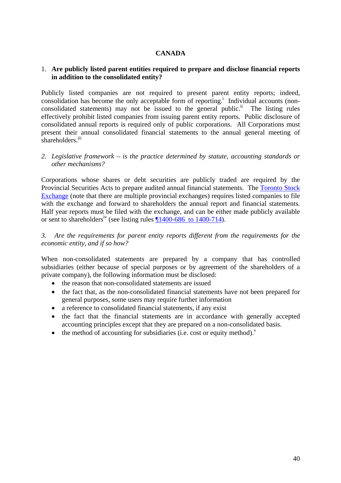## **CANADA**

### 1. **Are publicly listed parent entities required to prepare and disclose financial reports in addition to the consolidated entity?**

Publicly listed companies are not required to present parent entity reports; indeed, consolidation has become the only acceptable form of reporting.<sup>i</sup> Individual accounts (nonconsolidated statements) may not be issued to the general public.<sup>ii</sup> The listing rules effectively prohibit listed companies from issuing parent entity reports. Public disclosure of consolidated annual reports is required only of public corporations. All Corporations must present their annual consolidated financial statements to the annual general meeting of shareholders.<sup>iii</sup>

#### *2. Legislative framework – is the practice determined by statute, accounting standards or other mechanisms?*

Corporations whose shares or debt securities are publicly traded are required by the Provincial Securities Acts to prepare audited annual financial statements. The Toronto Stock Exchange (note that there are multiple provincial exchanges) requires listed companies to file with the exchange and forward to shareholders the annual report and financial statements. Half year reports must be filed with the exchange, and can be either made publicly available or sent to shareholders<sup>iv</sup> (see listing rules  $\P$ 1400-686 to 1400-714).

*3. Are the requirements for parent entity reports different from the requirements for the economic entity, and if so how?* 

When non-consolidated statements are prepared by a company that has controlled subsidiaries (either because of special purposes or by agreement of the shareholders of a private company), the following information must be disclosed:

- the reason that non-consolidated statements are issued
- the fact that, as the non-consolidated financial statements have not been prepared for general purposes, some users may require further information
- a reference to consolidated financial statements, if any exist
- the fact that the financial statements are in accordance with generally accepted accounting principles except that they are prepared on a non-consolidated basis.
- the method of accounting for subsidiaries (i.e. cost or equity method). $v$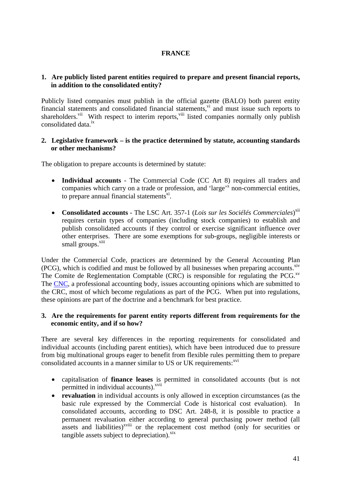## **FRANCE**

### **1. Are publicly listed parent entities required to prepare and present financial reports, in addition to the consolidated entity?**

Publicly listed companies must publish in the official gazette (BALO) both parent entity financial statements and consolidated financial statements, $\overline{v}$  and must issue such reports to shareholders.<sup>vii</sup> With respect to interim reports,<sup>viii</sup> listed companies normally only publish consolidated data.ix

### **2. Legislative framework – is the practice determined by statute, accounting standards or other mechanisms?**

The obligation to prepare accounts is determined by statute:

- **Individual accounts**  The Commercial Code (CC Art 8) requires all traders and companies which carry on a trade or profession, and 'large'<sup>x</sup> non-commercial entities, to prepare annual financial statements $x_i$ .
- **Consolidated accounts** The LSC Art. 357-1 (*Lois sur les Sociélés Commerciales*) xii requires certain types of companies (including stock companies) to establish and publish consolidated accounts if they control or exercise significant influence over other enterprises. There are some exemptions for sub-groups, negligible interests or small groups.<sup>xiii</sup>

Under the Commercial Code, practices are determined by the General Accounting Plan  $(PCG)$ , which is codified and must be followed by all businesses when preparing accounts. $x^i$ The Comite de Reglementation Comptable (CRC) is responsible for regulating the PCG. $X<sup>V</sup>$ The CNC, a professional accounting body, issues accounting opinions which are submitted to the CRC, most of which become regulations as part of the PCG. When put into regulations, these opinions are part of the doctrine and a benchmark for best practice.

### **3. Are the requirements for parent entity reports different from requirements for the economic entity, and if so how?**

There are several key differences in the reporting requirements for consolidated and individual accounts (including parent entities), which have been introduced due to pressure from big multinational groups eager to benefit from flexible rules permitting them to prepare consolidated accounts in a manner similar to US or UK requirements:<sup>xvi</sup>

- capitalisation of **finance leases** is permitted in consolidated accounts (but is not permitted in individual accounts).<sup>xvii</sup>
- **revaluation** in individual accounts is only allowed in exception circumstances (as the basic rule expressed by the Commercial Code is historical cost evaluation). In consolidated accounts, according to DSC Art. 248-8, it is possible to practice a permanent revaluation either according to general purchasing power method (all assets and liabilities)<sup>xviii</sup> or the replacement cost method (only for securities or tangible assets subject to depreciation). $x$ <sup>xix</sup>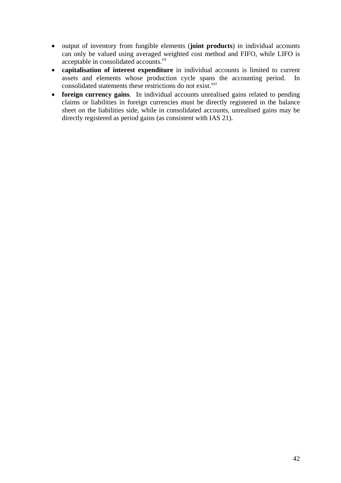- output of inventory from fungible elements (**joint products**) in individual accounts can only be valued using averaged weighted cost method and FIFO, while LIFO is acceptable in consolidated accounts.<sup>xx</sup>
- **capitalisation of interest expenditure** in individual accounts is limited to current assets and elements whose production cycle spans the accounting period. In consolidated statements these restrictions do not exist.<sup>xxi</sup>
- **foreign currency gains**. In individual accounts unrealised gains related to pending claims or liabilities in foreign currencies must be directly registered in the balance sheet on the liabilities side, while in consolidated accounts, unrealised gains may be directly registered as period gains (as consistent with IAS 21).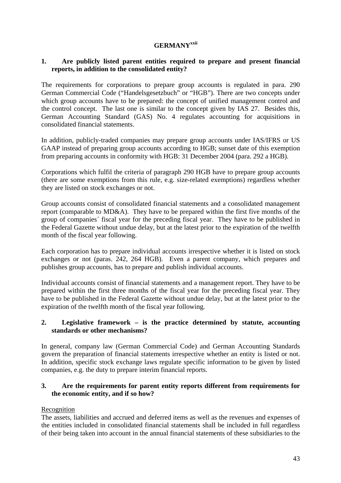# **GERMANYxxii**

## **1. Are publicly listed parent entities required to prepare and present financial reports, in addition to the consolidated entity?**

The requirements for corporations to prepare group accounts is regulated in para. 290 German Commercial Code ("Handelsgesetzbuch" or "HGB"). There are two concepts under which group accounts have to be prepared: the concept of unified management control and the control concept. The last one is similar to the concept given by IAS 27. Besides this, German Accounting Standard (GAS) No. 4 regulates accounting for acquisitions in consolidated financial statements.

In addition, publicly-traded companies may prepare group accounts under IAS/IFRS or US GAAP instead of preparing group accounts according to HGB; sunset date of this exemption from preparing accounts in conformity with HGB: 31 December 2004 (para. 292 a HGB).

Corporations which fulfil the criteria of paragraph 290 HGB have to prepare group accounts (there are some exemptions from this rule, e.g. size-related exemptions) regardless whether they are listed on stock exchanges or not.

Group accounts consist of consolidated financial statements and a consolidated management report (comparable to MD&A). They have to be prepared within the first five months of the group of companies´ fiscal year for the preceding fiscal year. They have to be published in the Federal Gazette without undue delay, but at the latest prior to the expiration of the twelfth month of the fiscal year following.

Each corporation has to prepare individual accounts irrespective whether it is listed on stock exchanges or not (paras. 242, 264 HGB). Even a parent company, which prepares and publishes group accounts, has to prepare and publish individual accounts.

Individual accounts consist of financial statements and a management report. They have to be prepared within the first three months of the fiscal year for the preceding fiscal year. They have to be published in the Federal Gazette without undue delay, but at the latest prior to the expiration of the twelfth month of the fiscal year following.

### **2. Legislative framework – is the practice determined by statute, accounting standards or other mechanisms?**

In general, company law (German Commercial Code) and German Accounting Standards govern the preparation of financial statements irrespective whether an entity is listed or not. In addition, specific stock exchange laws regulate specific information to be given by listed companies, e.g. the duty to prepare interim financial reports.

# **3. Are the requirements for parent entity reports different from requirements for the economic entity, and if so how?**

# Recognition

The assets, liabilities and accrued and deferred items as well as the revenues and expenses of the entities included in consolidated financial statements shall be included in full regardless of their being taken into account in the annual financial statements of these subsidiaries to the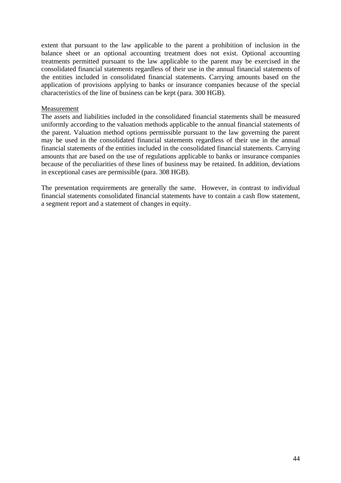extent that pursuant to the law applicable to the parent a prohibition of inclusion in the balance sheet or an optional accounting treatment does not exist. Optional accounting treatments permitted pursuant to the law applicable to the parent may be exercised in the consolidated financial statements regardless of their use in the annual financial statements of the entities included in consolidated financial statements. Carrying amounts based on the application of provisions applying to banks or insurance companies because of the special characteristics of the line of business can be kept (para. 300 HGB).

#### Measurement

The assets and liabilities included in the consolidated financial statements shall be measured uniformly according to the valuation methods applicable to the annual financial statements of the parent. Valuation method options permissible pursuant to the law governing the parent may be used in the consolidated financial statements regardless of their use in the annual financial statements of the entities included in the consolidated financial statements. Carrying amounts that are based on the use of regulations applicable to banks or insurance companies because of the peculiarities of these lines of business may be retained. In addition, deviations in exceptional cases are permissible (para. 308 HGB).

The presentation requirements are generally the same. However, in contrast to individual financial statements consolidated financial statements have to contain a cash flow statement, a segment report and a statement of changes in equity.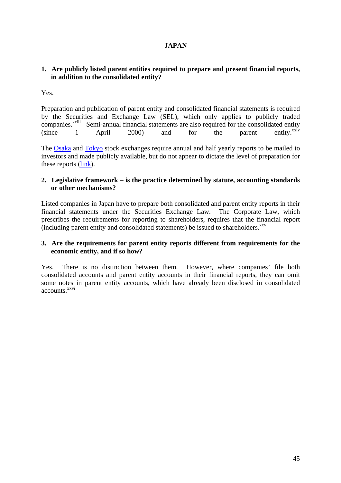# **JAPAN**

# **1. Are publicly listed parent entities required to prepare and present financial reports, in addition to the consolidated entity?**

Yes.

Preparation and publication of parent entity and consolidated financial statements is required by the Securities and Exchange Law (SEL), which only applies to publicly traded companies.<sup>xxiii</sup> Semi-annual financial statements are also required for the consolidated entity (since 1 April 2000) and for the parent entity. $x^{xxiv}$ 

The Osaka and Tokyo stock exchanges require annual and half yearly reports to be mailed to investors and made publicly available, but do not appear to dictate the level of preparation for these reports (link).

### **2. Legislative framework – is the practice determined by statute, accounting standards or other mechanisms?**

Listed companies in Japan have to prepare both consolidated and parent entity reports in their financial statements under the Securities Exchange Law. The Corporate Law, which prescribes the requirements for reporting to shareholders, requires that the financial report (including parent entity and consolidated statements) be issued to shareholders.<sup>xxv</sup>

### **3. Are the requirements for parent entity reports different from requirements for the economic entity, and if so how?**

Yes. There is no distinction between them. However, where companies' file both consolidated accounts and parent entity accounts in their financial reports, they can omit some notes in parent entity accounts, which have already been disclosed in consolidated accounts.<sup>xxvi</sup>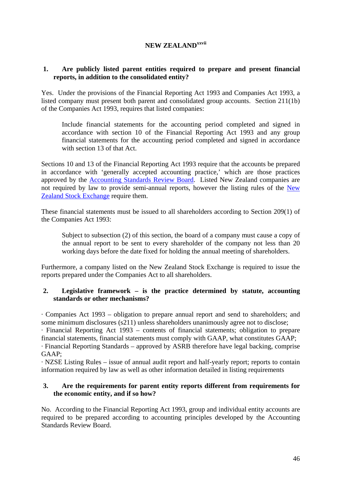# **NEW ZEALANDxxvii**

# **1. Are publicly listed parent entities required to prepare and present financial reports, in addition to the consolidated entity?**

Yes. Under the provisions of the Financial Reporting Act 1993 and Companies Act 1993, a listed company must present both parent and consolidated group accounts. Section 211(1b) of the Companies Act 1993, requires that listed companies:

Include financial statements for the accounting period completed and signed in accordance with section 10 of the Financial Reporting Act 1993 and any group financial statements for the accounting period completed and signed in accordance with section 13 of that Act.

Sections 10 and 13 of the Financial Reporting Act 1993 require that the accounts be prepared in accordance with 'generally accepted accounting practice,' which are those practices approved by the Accounting Standards Review Board. Listed New Zealand companies are not required by law to provide semi-annual reports, however the listing rules of the New Zealand Stock Exchange require them.

These financial statements must be issued to all shareholders according to Section 209(1) of the Companies Act 1993:

Subject to subsection (2) of this section, the board of a company must cause a copy of the annual report to be sent to every shareholder of the company not less than 20 working days before the date fixed for holding the annual meeting of shareholders.

Furthermore, a company listed on the New Zealand Stock Exchange is required to issue the reports prepared under the Companies Act to all shareholders.

# **2. Legislative framework – is the practice determined by statute, accounting standards or other mechanisms?**

· Companies Act 1993 – obligation to prepare annual report and send to shareholders; and some minimum disclosures (s211) unless shareholders unanimously agree not to disclose; · Financial Reporting Act 1993 – contents of financial statements; obligation to prepare financial statements, financial statements must comply with GAAP, what constitutes GAAP; · Financial Reporting Standards – approved by ASRB therefore have legal backing, comprise GAAP;

· NZSE Listing Rules – issue of annual audit report and half-yearly report; reports to contain information required by law as well as other information detailed in listing requirements

# **3. Are the requirements for parent entity reports different from requirements for the economic entity, and if so how?**

No. According to the Financial Reporting Act 1993, group and individual entity accounts are required to be prepared according to accounting principles developed by the Accounting Standards Review Board.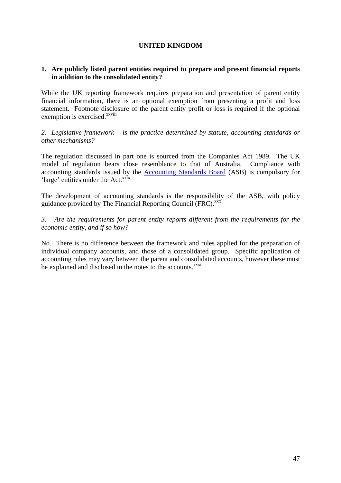# **UNITED KINGDOM**

# **1. Are publicly listed parent entities required to prepare and present financial reports in addition to the consolidated entity?**

While the UK reporting framework requires preparation and presentation of parent entity financial information, there is an optional exemption from presenting a profit and loss statement. Footnote disclosure of the parent entity profit or loss is required if the optional exemption is exercised.<sup>xxviii</sup>

*2. Legislative framework – is the practice determined by statute, accounting standards or other mechanisms?* 

The regulation discussed in part one is sourced from the Companies Act 1989. The UK model of regulation bears close resemblance to that of Australia. Compliance with accounting standards issued by the Accounting Standards Board (ASB) is compulsory for 'large' entities under the Act.<sup>xxix</sup>

The development of accounting standards is the responsibility of the ASB, with policy guidance provided by The Financial Reporting Council (FRC).<sup>xxx</sup>

*3. Are the requirements for parent entity reports different from the requirements for the economic entity, and if so how?* 

No. There is no difference between the framework and rules applied for the preparation of individual company accounts, and those of a consolidated group. Specific application of accounting rules may vary between the parent and consolidated accounts, however these must be explained and disclosed in the notes to the accounts.<sup>xxxi</sup>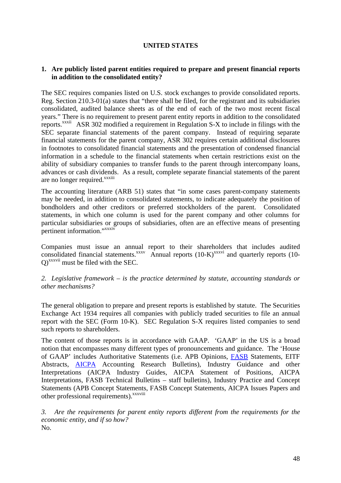# **UNITED STATES**

### **1. Are publicly listed parent entities required to prepare and present financial reports in addition to the consolidated entity?**

The SEC requires companies listed on U.S. stock exchanges to provide consolidated reports. Reg. Section 210.3-01(a) states that "there shall be filed, for the registrant and its subsidiaries consolidated, audited balance sheets as of the end of each of the two most recent fiscal years." There is no requirement to present parent entity reports in addition to the consolidated reports.xxxii ASR 302 modified a requirement in Regulation S-X to include in filings with the SEC separate financial statements of the parent company. Instead of requiring separate financial statements for the parent company, ASR 302 requires certain additional disclosures in footnotes to consolidated financial statements and the presentation of condensed financial information in a schedule to the financial statements when certain restrictions exist on the ability of subsidiary companies to transfer funds to the parent through intercompany loans, advances or cash dividends. As a result, complete separate financial statements of the parent are no longer required.<sup>xxxiii</sup>

The accounting literature (ARB 51) states that "in some cases parent-company statements may be needed, in addition to consolidated statements, to indicate adequately the position of bondholders and other creditors or preferred stockholders of the parent. Consolidated statements, in which one column is used for the parent company and other columns for particular subsidiaries or groups of subsidiaries, often are an effective means of presenting pertinent information." xxxiv

Companies must issue an annual report to their shareholders that includes audited consolidated financial statements.<sup>xxxv</sup> Annual reports  $(10-K)^{xxxxvi}$  and quarterly reports  $(10-K)^{2}$ Q)xxxvii must be filed with the SEC.

*2. Legislative framework – is the practice determined by statute, accounting standards or other mechanisms?* 

The general obligation to prepare and present reports is established by statute. The Securities Exchange Act 1934 requires all companies with publicly traded securities to file an annual report with the SEC (Form 10-K). SEC Regulation S-X requires listed companies to send such reports to shareholders.

The content of those reports is in accordance with GAAP. 'GAAP' in the US is a broad notion that encompasses many different types of pronouncements and guidance. The 'House of GAAP' includes Authoritative Statements (i.e. APB Opinions, FASB Statements, EITF Abstracts, AICPA Accounting Research Bulletins), Industry Guidance and other Interpretations (AICPA Industry Guides, AICPA Statement of Positions, AICPA Interpretations, FASB Technical Bulletins – staff bulletins), Industry Practice and Concept Statements (APB Concept Statements, FASB Concept Statements, AICPA Issues Papers and other professional requirements).<sup>xxxviii</sup>

*3. Are the requirements for parent entity reports different from the requirements for the economic entity, and if so how?*  No.